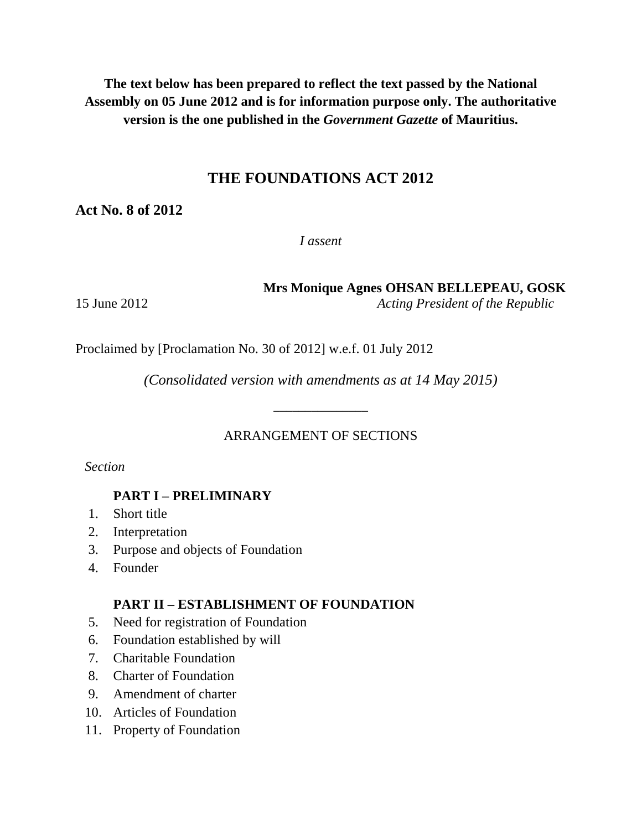**The text below has been prepared to reflect the text passed by the National Assembly on 05 June 2012 and is for information purpose only. The authoritative version is the one published in the** *Government Gazette* **of Mauritius.**

# **THE FOUNDATIONS ACT 2012**

**Act No. 8 of 2012**

*I assent*

**Mrs Monique Agnes OHSAN BELLEPEAU, GOSK**

15 June 2012 *Acting President of the Republic*

Proclaimed by [Proclamation No. 30 of 2012] w.e.f. 01 July 2012

*(Consolidated version with amendments as at 14 May 2015)*

\_\_\_\_\_\_\_\_\_\_\_\_\_\_\_

### ARRANGEMENT OF SECTIONS

*Section*

# **PART I – PRELIMINARY**

- 1. Short title
- 2. Interpretation
- 3. Purpose and objects of Foundation
- 4. Founder

### **PART II – ESTABLISHMENT OF FOUNDATION**

- 5. Need for registration of Foundation
- 6. Foundation established by will
- 7. Charitable Foundation
- 8. Charter of Foundation
- 9. Amendment of charter
- 10. Articles of Foundation
- 11. Property of Foundation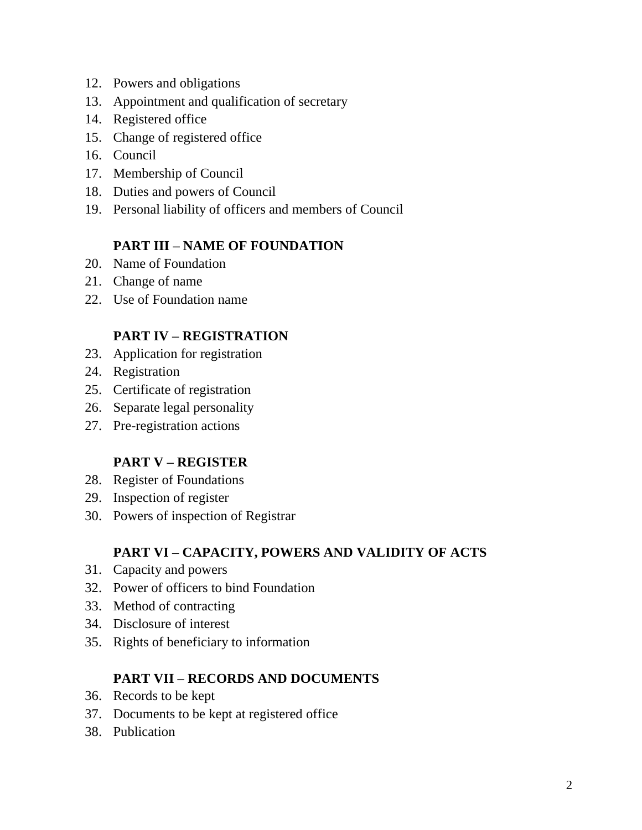- 12. Powers and obligations
- 13. Appointment and qualification of secretary
- 14. Registered office
- 15. Change of registered office
- 16. Council
- 17. Membership of Council
- 18. Duties and powers of Council
- 19. Personal liability of officers and members of Council

### **PART III – NAME OF FOUNDATION**

- 20. Name of Foundation
- 21. Change of name
- 22. Use of Foundation name

### **PART IV – REGISTRATION**

- 23. Application for registration
- 24. Registration
- 25. Certificate of registration
- 26. Separate legal personality
- 27. Pre-registration actions

### **PART V – REGISTER**

- 28. Register of Foundations
- 29. Inspection of register
- 30. Powers of inspection of Registrar

### **PART VI – CAPACITY, POWERS AND VALIDITY OF ACTS**

- 31. Capacity and powers
- 32. Power of officers to bind Foundation
- 33. Method of contracting
- 34. Disclosure of interest
- 35. Rights of beneficiary to information

### **PART VII – RECORDS AND DOCUMENTS**

- 36. Records to be kept
- 37. Documents to be kept at registered office
- 38. Publication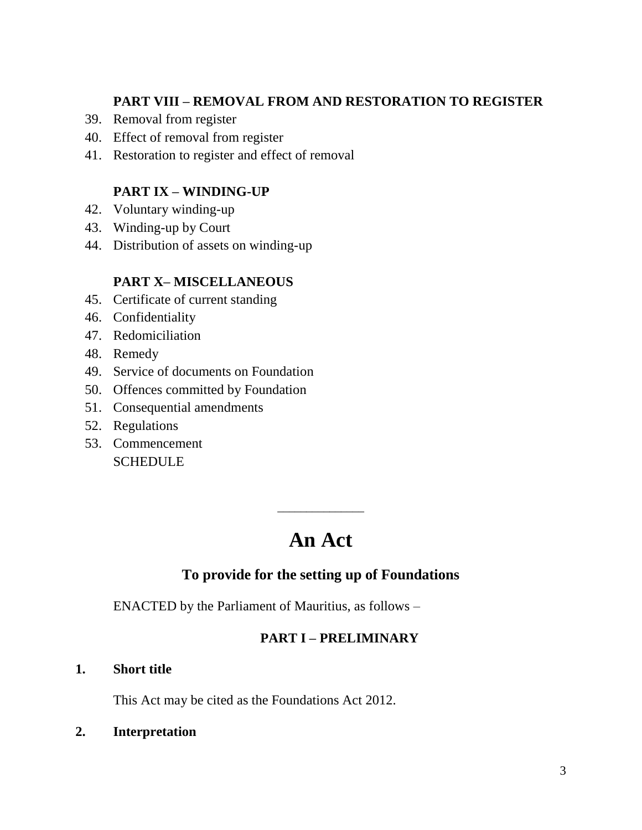### **PART VIII – REMOVAL FROM AND RESTORATION TO REGISTER**

- 39. Removal from register
- 40. Effect of removal from register
- 41. Restoration to register and effect of removal

# **PART IX – WINDING-UP**

- 42. Voluntary winding-up
- 43. Winding-up by Court
- 44. Distribution of assets on winding-up

### **PART X– MISCELLANEOUS**

- 45. Certificate of current standing
- 46. Confidentiality
- 47. Redomiciliation
- 48. Remedy
- 49. Service of documents on Foundation
- 50. Offences committed by Foundation
- 51. Consequential amendments
- 52. Regulations
- 53. Commencement **SCHEDULE**

# **An Act**

\_\_\_\_\_\_\_\_\_\_\_\_\_\_\_

# **To provide for the setting up of Foundations**

ENACTED by the Parliament of Mauritius, as follows –

### **PART I – PRELIMINARY**

#### **1. Short title**

This Act may be cited as the Foundations Act 2012.

**2. Interpretation**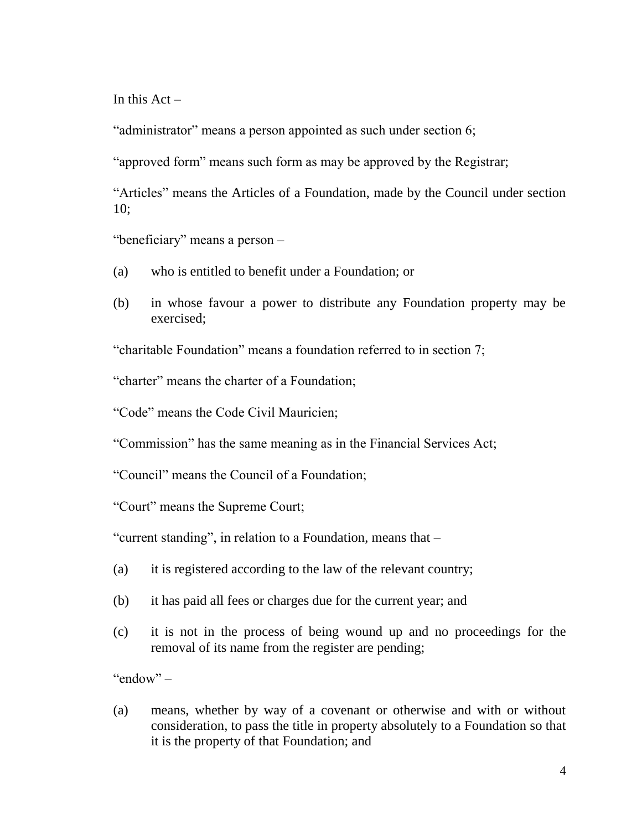In this  $Act -$ 

"administrator" means a person appointed as such under section 6;

"approved form" means such form as may be approved by the Registrar;

"Articles" means the Articles of a Foundation, made by the Council under section 10;

"beneficiary" means a person –

- (a) who is entitled to benefit under a Foundation; or
- (b) in whose favour a power to distribute any Foundation property may be exercised;

"charitable Foundation" means a foundation referred to in section 7;

"charter" means the charter of a Foundation;

"Code" means the Code Civil Mauricien;

"Commission" has the same meaning as in the Financial Services Act;

"Council" means the Council of a Foundation;

"Court" means the Supreme Court;

"current standing", in relation to a Foundation, means that –

- (a) it is registered according to the law of the relevant country;
- (b) it has paid all fees or charges due for the current year; and
- (c) it is not in the process of being wound up and no proceedings for the removal of its name from the register are pending;

" $endow" -$ 

(a) means, whether by way of a covenant or otherwise and with or without consideration, to pass the title in property absolutely to a Foundation so that it is the property of that Foundation; and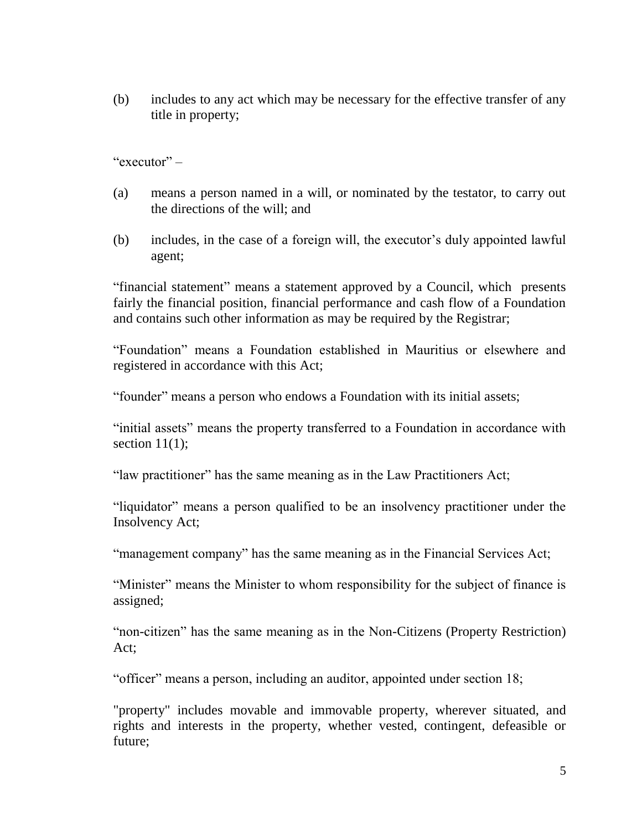(b) includes to any act which may be necessary for the effective transfer of any title in property;

"executor" –

- (a) means a person named in a will, or nominated by the testator, to carry out the directions of the will; and
- (b) includes, in the case of a foreign will, the executor's duly appointed lawful agent;

"financial statement" means a statement approved by a Council, which presents fairly the financial position, financial performance and cash flow of a Foundation and contains such other information as may be required by the Registrar;

"Foundation" means a Foundation established in Mauritius or elsewhere and registered in accordance with this Act;

"founder" means a person who endows a Foundation with its initial assets;

"initial assets" means the property transferred to a Foundation in accordance with section  $11(1)$ ;

"law practitioner" has the same meaning as in the Law Practitioners Act;

"liquidator" means a person qualified to be an insolvency practitioner under the Insolvency Act;

"management company" has the same meaning as in the Financial Services Act;

"Minister" means the Minister to whom responsibility for the subject of finance is assigned;

"non-citizen" has the same meaning as in the Non-Citizens (Property Restriction) Act;

"officer" means a person, including an auditor, appointed under section 18;

"property" includes movable and immovable property, wherever situated, and rights and interests in the property, whether vested, contingent, defeasible or future;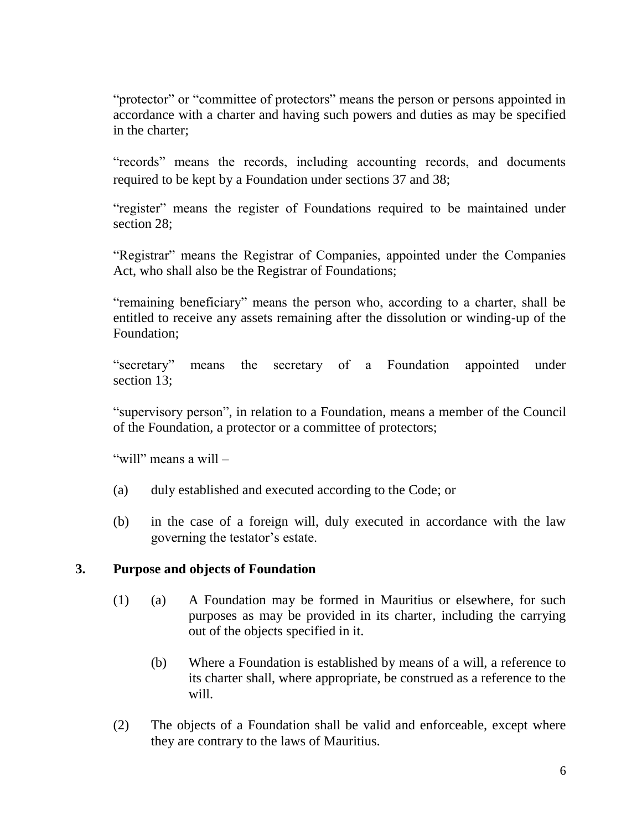"protector" or "committee of protectors" means the person or persons appointed in accordance with a charter and having such powers and duties as may be specified in the charter;

"records" means the records, including accounting records, and documents required to be kept by a Foundation under sections 37 and 38;

"register" means the register of Foundations required to be maintained under section 28:

"Registrar" means the Registrar of Companies, appointed under the Companies Act, who shall also be the Registrar of Foundations;

"remaining beneficiary" means the person who, according to a charter, shall be entitled to receive any assets remaining after the dissolution or winding-up of the Foundation;

"secretary" means the secretary of a Foundation appointed under section 13;

"supervisory person", in relation to a Foundation, means a member of the Council of the Foundation, a protector or a committee of protectors;

"will" means a will –

- (a) duly established and executed according to the Code; or
- (b) in the case of a foreign will, duly executed in accordance with the law governing the testator's estate.

### **3. Purpose and objects of Foundation**

- (1) (a) A Foundation may be formed in Mauritius or elsewhere, for such purposes as may be provided in its charter, including the carrying out of the objects specified in it.
	- (b) Where a Foundation is established by means of a will, a reference to its charter shall, where appropriate, be construed as a reference to the will.
- (2) The objects of a Foundation shall be valid and enforceable, except where they are contrary to the laws of Mauritius.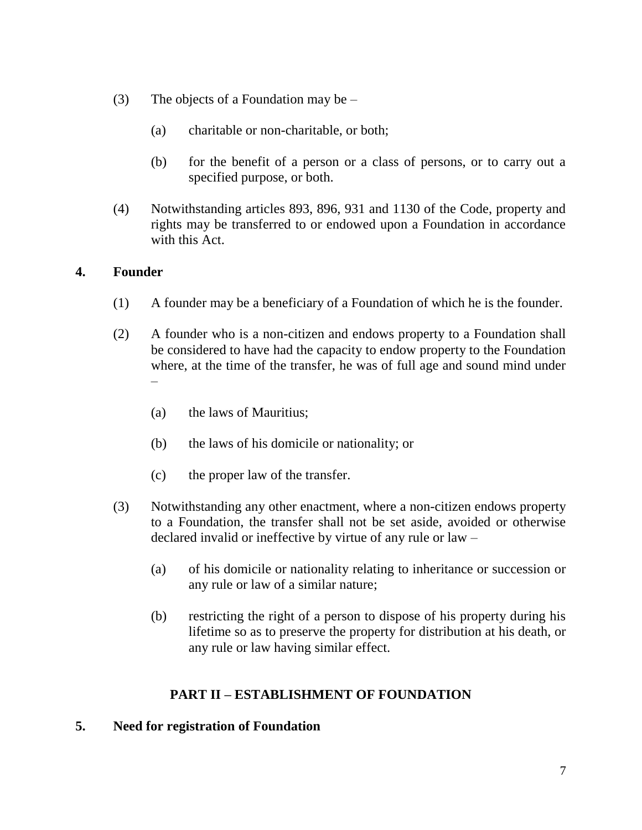- (3) The objects of a Foundation may be  $-$ 
	- (a) charitable or non-charitable, or both;
	- (b) for the benefit of a person or a class of persons, or to carry out a specified purpose, or both.
- (4) Notwithstanding articles 893, 896, 931 and 1130 of the Code, property and rights may be transferred to or endowed upon a Foundation in accordance with this Act.

### **4. Founder**

- (1) A founder may be a beneficiary of a Foundation of which he is the founder.
- (2) A founder who is a non-citizen and endows property to a Foundation shall be considered to have had the capacity to endow property to the Foundation where, at the time of the transfer, he was of full age and sound mind under –
	- (a) the laws of Mauritius;
	- (b) the laws of his domicile or nationality; or
	- (c) the proper law of the transfer.
- (3) Notwithstanding any other enactment, where a non-citizen endows property to a Foundation, the transfer shall not be set aside, avoided or otherwise declared invalid or ineffective by virtue of any rule or law –
	- (a) of his domicile or nationality relating to inheritance or succession or any rule or law of a similar nature;
	- (b) restricting the right of a person to dispose of his property during his lifetime so as to preserve the property for distribution at his death, or any rule or law having similar effect.

# **PART II – ESTABLISHMENT OF FOUNDATION**

### **5. Need for registration of Foundation**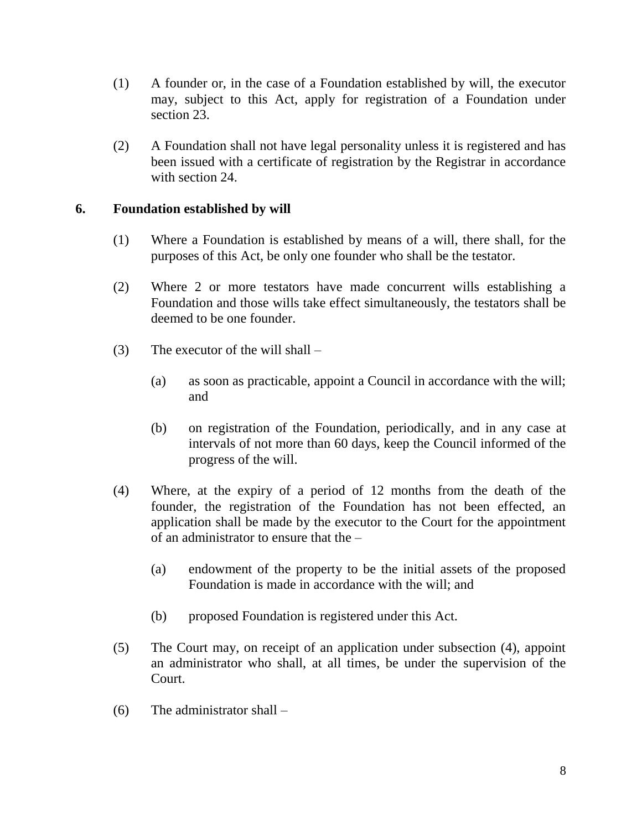- (1) A founder or, in the case of a Foundation established by will, the executor may, subject to this Act, apply for registration of a Foundation under section 23.
- (2) A Foundation shall not have legal personality unless it is registered and has been issued with a certificate of registration by the Registrar in accordance with section 24.

### **6. Foundation established by will**

- (1) Where a Foundation is established by means of a will, there shall, for the purposes of this Act, be only one founder who shall be the testator.
- (2) Where 2 or more testators have made concurrent wills establishing a Foundation and those wills take effect simultaneously, the testators shall be deemed to be one founder.
- (3) The executor of the will shall
	- (a) as soon as practicable, appoint a Council in accordance with the will; and
	- (b) on registration of the Foundation, periodically, and in any case at intervals of not more than 60 days, keep the Council informed of the progress of the will.
- (4) Where, at the expiry of a period of 12 months from the death of the founder, the registration of the Foundation has not been effected, an application shall be made by the executor to the Court for the appointment of an administrator to ensure that the –
	- (a) endowment of the property to be the initial assets of the proposed Foundation is made in accordance with the will; and
	- (b) proposed Foundation is registered under this Act.
- (5) The Court may, on receipt of an application under subsection (4), appoint an administrator who shall, at all times, be under the supervision of the Court.
- (6) The administrator shall –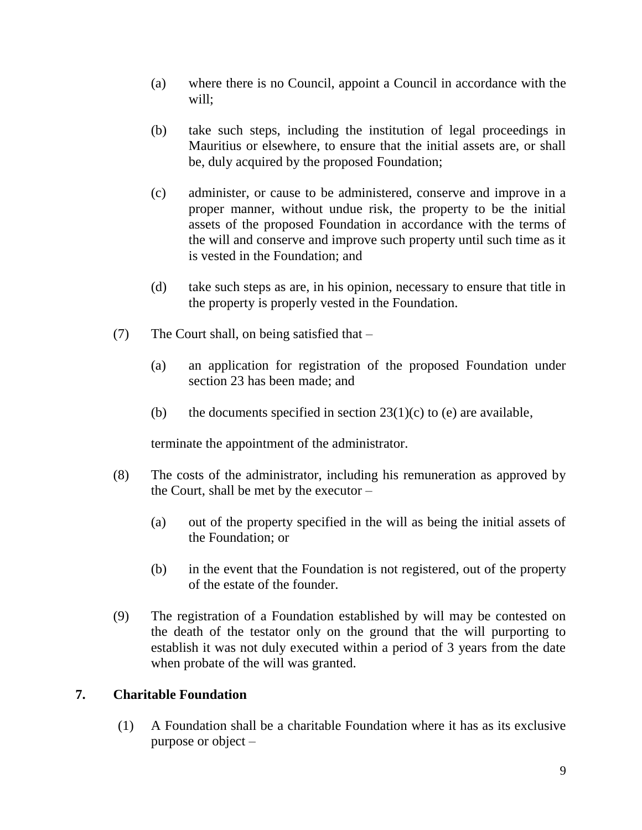- (a) where there is no Council, appoint a Council in accordance with the will;
- (b) take such steps, including the institution of legal proceedings in Mauritius or elsewhere, to ensure that the initial assets are, or shall be, duly acquired by the proposed Foundation;
- (c) administer, or cause to be administered, conserve and improve in a proper manner, without undue risk, the property to be the initial assets of the proposed Foundation in accordance with the terms of the will and conserve and improve such property until such time as it is vested in the Foundation; and
- (d) take such steps as are, in his opinion, necessary to ensure that title in the property is properly vested in the Foundation.
- (7) The Court shall, on being satisfied that
	- (a) an application for registration of the proposed Foundation under section 23 has been made; and
	- (b) the documents specified in section  $23(1)(c)$  to (e) are available,

terminate the appointment of the administrator.

- (8) The costs of the administrator, including his remuneration as approved by the Court, shall be met by the executor –
	- (a) out of the property specified in the will as being the initial assets of the Foundation; or
	- (b) in the event that the Foundation is not registered, out of the property of the estate of the founder.
- (9) The registration of a Foundation established by will may be contested on the death of the testator only on the ground that the will purporting to establish it was not duly executed within a period of 3 years from the date when probate of the will was granted.

### **7. Charitable Foundation**

(1) A Foundation shall be a charitable Foundation where it has as its exclusive purpose or object –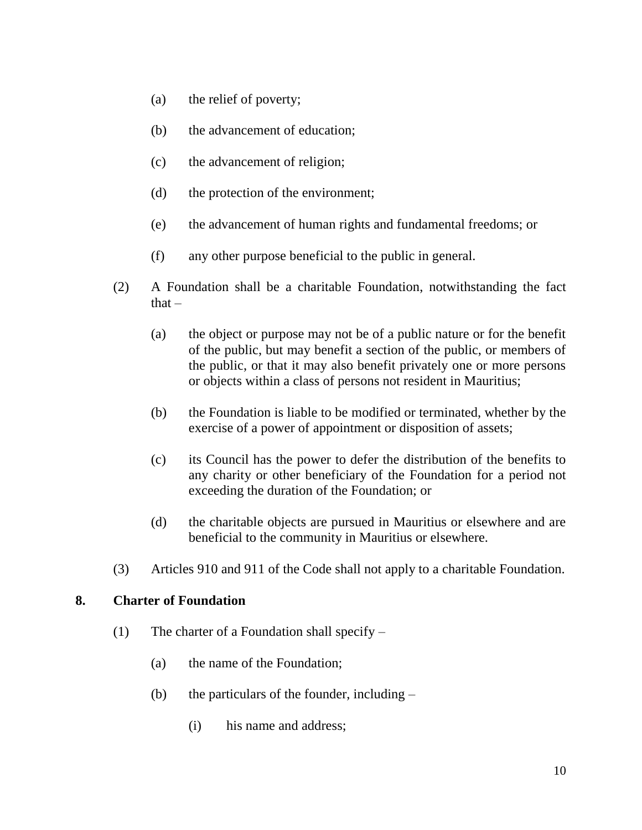- (a) the relief of poverty;
- (b) the advancement of education;
- (c) the advancement of religion;
- (d) the protection of the environment;
- (e) the advancement of human rights and fundamental freedoms; or
- (f) any other purpose beneficial to the public in general.
- (2) A Foundation shall be a charitable Foundation, notwithstanding the fact that  $-$ 
	- (a) the object or purpose may not be of a public nature or for the benefit of the public, but may benefit a section of the public, or members of the public, or that it may also benefit privately one or more persons or objects within a class of persons not resident in Mauritius;
	- (b) the Foundation is liable to be modified or terminated, whether by the exercise of a power of appointment or disposition of assets;
	- (c) its Council has the power to defer the distribution of the benefits to any charity or other beneficiary of the Foundation for a period not exceeding the duration of the Foundation; or
	- (d) the charitable objects are pursued in Mauritius or elsewhere and are beneficial to the community in Mauritius or elsewhere.
- (3) Articles 910 and 911 of the Code shall not apply to a charitable Foundation.

#### **8. Charter of Foundation**

- (1) The charter of a Foundation shall specify  $-$ 
	- (a) the name of the Foundation;
	- (b) the particulars of the founder, including
		- (i) his name and address;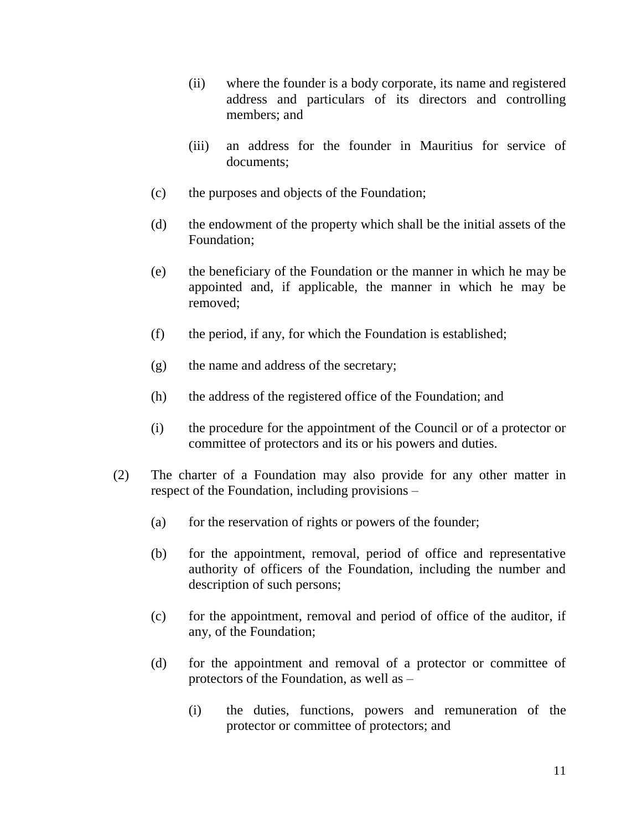- (ii) where the founder is a body corporate, its name and registered address and particulars of its directors and controlling members; and
- (iii) an address for the founder in Mauritius for service of documents;
- (c) the purposes and objects of the Foundation;
- (d) the endowment of the property which shall be the initial assets of the Foundation;
- (e) the beneficiary of the Foundation or the manner in which he may be appointed and, if applicable, the manner in which he may be removed;
- (f) the period, if any, for which the Foundation is established;
- (g) the name and address of the secretary;
- (h) the address of the registered office of the Foundation; and
- (i) the procedure for the appointment of the Council or of a protector or committee of protectors and its or his powers and duties.
- (2) The charter of a Foundation may also provide for any other matter in respect of the Foundation, including provisions –
	- (a) for the reservation of rights or powers of the founder;
	- (b) for the appointment, removal, period of office and representative authority of officers of the Foundation, including the number and description of such persons;
	- (c) for the appointment, removal and period of office of the auditor, if any, of the Foundation;
	- (d) for the appointment and removal of a protector or committee of protectors of the Foundation, as well as –
		- (i) the duties, functions, powers and remuneration of the protector or committee of protectors; and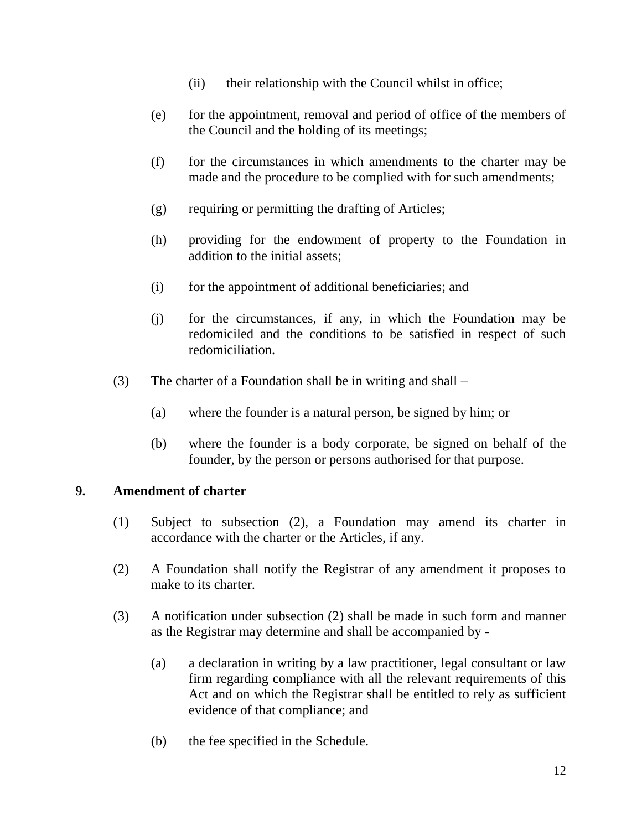- (ii) their relationship with the Council whilst in office;
- (e) for the appointment, removal and period of office of the members of the Council and the holding of its meetings;
- (f) for the circumstances in which amendments to the charter may be made and the procedure to be complied with for such amendments;
- (g) requiring or permitting the drafting of Articles;
- (h) providing for the endowment of property to the Foundation in addition to the initial assets;
- (i) for the appointment of additional beneficiaries; and
- (j) for the circumstances, if any, in which the Foundation may be redomiciled and the conditions to be satisfied in respect of such redomiciliation.
- (3) The charter of a Foundation shall be in writing and shall
	- (a) where the founder is a natural person, be signed by him; or
	- (b) where the founder is a body corporate, be signed on behalf of the founder, by the person or persons authorised for that purpose.

#### **9. Amendment of charter**

- (1) Subject to subsection (2), a Foundation may amend its charter in accordance with the charter or the Articles, if any.
- (2) A Foundation shall notify the Registrar of any amendment it proposes to make to its charter.
- (3) A notification under subsection (2) shall be made in such form and manner as the Registrar may determine and shall be accompanied by -
	- (a) a declaration in writing by a law practitioner, legal consultant or law firm regarding compliance with all the relevant requirements of this Act and on which the Registrar shall be entitled to rely as sufficient evidence of that compliance; and
	- (b) the fee specified in the Schedule.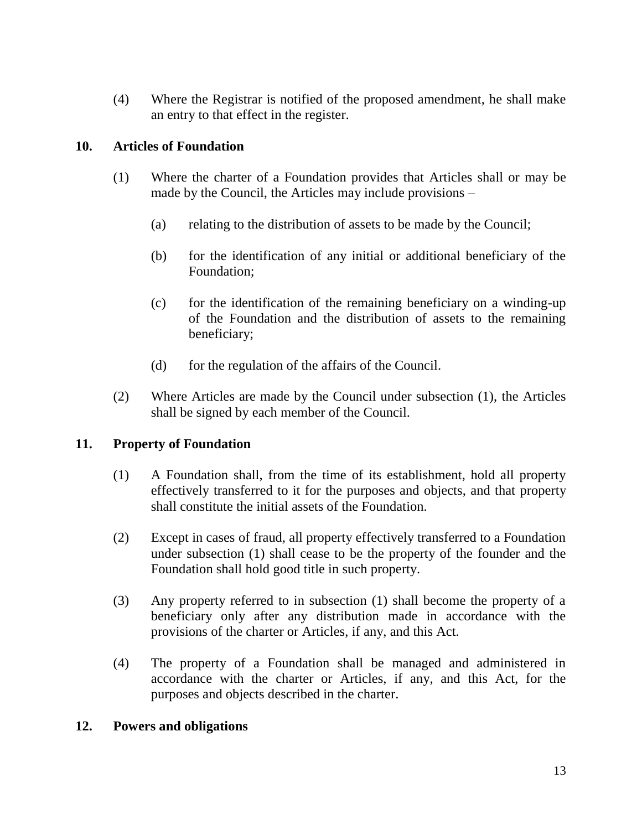(4) Where the Registrar is notified of the proposed amendment, he shall make an entry to that effect in the register.

### **10. Articles of Foundation**

- (1) Where the charter of a Foundation provides that Articles shall or may be made by the Council, the Articles may include provisions –
	- (a) relating to the distribution of assets to be made by the Council;
	- (b) for the identification of any initial or additional beneficiary of the Foundation;
	- (c) for the identification of the remaining beneficiary on a winding-up of the Foundation and the distribution of assets to the remaining beneficiary;
	- (d) for the regulation of the affairs of the Council.
- (2) Where Articles are made by the Council under subsection (1), the Articles shall be signed by each member of the Council.

### **11. Property of Foundation**

- (1) A Foundation shall, from the time of its establishment, hold all property effectively transferred to it for the purposes and objects, and that property shall constitute the initial assets of the Foundation.
- (2) Except in cases of fraud, all property effectively transferred to a Foundation under subsection (1) shall cease to be the property of the founder and the Foundation shall hold good title in such property.
- (3) Any property referred to in subsection (1) shall become the property of a beneficiary only after any distribution made in accordance with the provisions of the charter or Articles, if any, and this Act.
- (4) The property of a Foundation shall be managed and administered in accordance with the charter or Articles, if any, and this Act, for the purposes and objects described in the charter.

#### **12. Powers and obligations**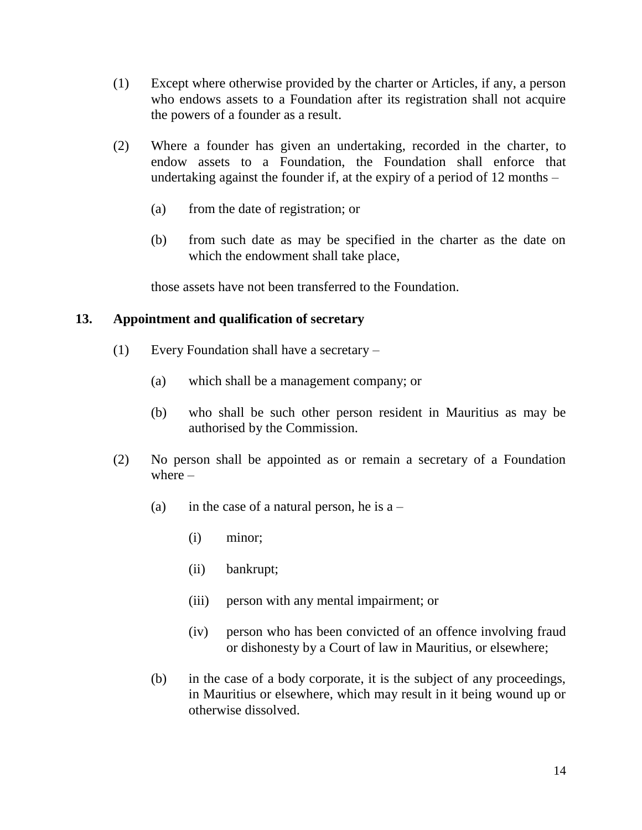- (1) Except where otherwise provided by the charter or Articles, if any, a person who endows assets to a Foundation after its registration shall not acquire the powers of a founder as a result.
- (2) Where a founder has given an undertaking, recorded in the charter, to endow assets to a Foundation, the Foundation shall enforce that undertaking against the founder if, at the expiry of a period of 12 months –
	- (a) from the date of registration; or
	- (b) from such date as may be specified in the charter as the date on which the endowment shall take place,

those assets have not been transferred to the Foundation.

### **13. Appointment and qualification of secretary**

- (1) Every Foundation shall have a secretary
	- (a) which shall be a management company; or
	- (b) who shall be such other person resident in Mauritius as may be authorised by the Commission.
- (2) No person shall be appointed as or remain a secretary of a Foundation where –
	- (a) in the case of a natural person, he is  $a -$ 
		- (i) minor;
		- (ii) bankrupt;
		- (iii) person with any mental impairment; or
		- (iv) person who has been convicted of an offence involving fraud or dishonesty by a Court of law in Mauritius, or elsewhere;
	- (b) in the case of a body corporate, it is the subject of any proceedings, in Mauritius or elsewhere, which may result in it being wound up or otherwise dissolved.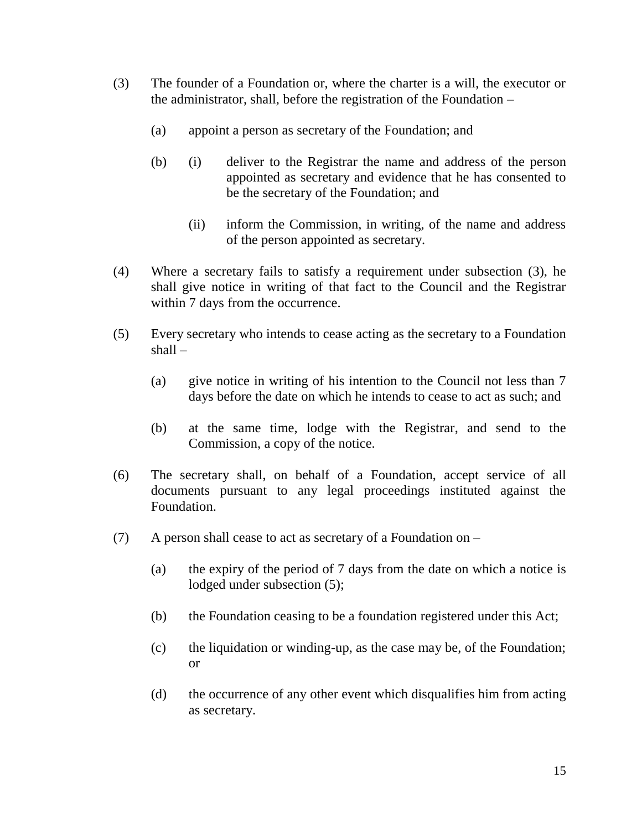- (3) The founder of a Foundation or, where the charter is a will, the executor or the administrator, shall, before the registration of the Foundation –
	- (a) appoint a person as secretary of the Foundation; and
	- (b) (i) deliver to the Registrar the name and address of the person appointed as secretary and evidence that he has consented to be the secretary of the Foundation; and
		- (ii) inform the Commission, in writing, of the name and address of the person appointed as secretary.
- (4) Where a secretary fails to satisfy a requirement under subsection (3), he shall give notice in writing of that fact to the Council and the Registrar within 7 days from the occurrence.
- (5) Every secretary who intends to cease acting as the secretary to a Foundation shall –
	- (a) give notice in writing of his intention to the Council not less than 7 days before the date on which he intends to cease to act as such; and
	- (b) at the same time, lodge with the Registrar, and send to the Commission, a copy of the notice.
- (6) The secretary shall, on behalf of a Foundation, accept service of all documents pursuant to any legal proceedings instituted against the Foundation.
- (7) A person shall cease to act as secretary of a Foundation on
	- (a) the expiry of the period of 7 days from the date on which a notice is lodged under subsection (5);
	- (b) the Foundation ceasing to be a foundation registered under this Act;
	- (c) the liquidation or winding-up, as the case may be, of the Foundation; or
	- (d) the occurrence of any other event which disqualifies him from acting as secretary.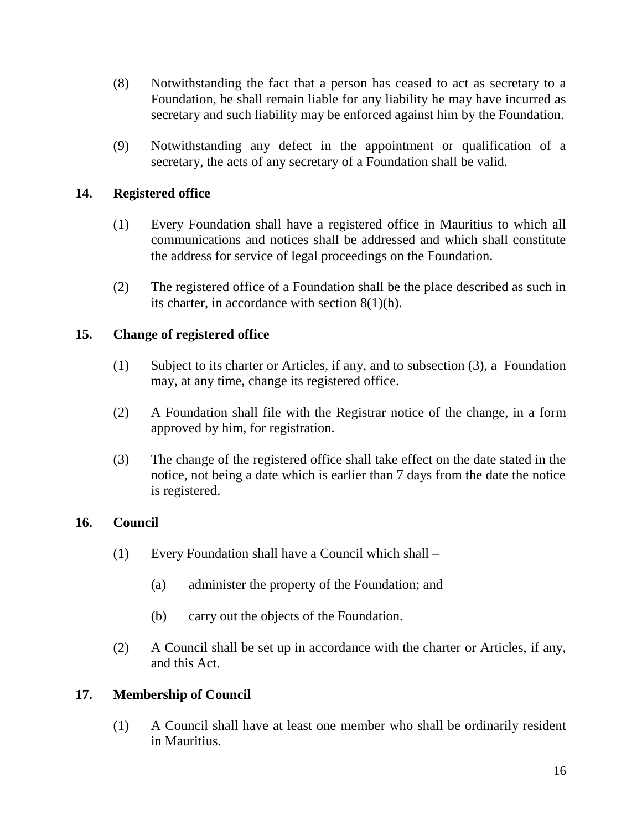- (8) Notwithstanding the fact that a person has ceased to act as secretary to a Foundation, he shall remain liable for any liability he may have incurred as secretary and such liability may be enforced against him by the Foundation.
- (9) Notwithstanding any defect in the appointment or qualification of a secretary, the acts of any secretary of a Foundation shall be valid.

### **14. Registered office**

- (1) Every Foundation shall have a registered office in Mauritius to which all communications and notices shall be addressed and which shall constitute the address for service of legal proceedings on the Foundation.
- (2) The registered office of a Foundation shall be the place described as such in its charter, in accordance with section 8(1)(h).

### **15. Change of registered office**

- (1) Subject to its charter or Articles, if any, and to subsection (3), a Foundation may, at any time, change its registered office.
- (2) A Foundation shall file with the Registrar notice of the change, in a form approved by him, for registration.
- (3) The change of the registered office shall take effect on the date stated in the notice, not being a date which is earlier than 7 days from the date the notice is registered.

#### **16. Council**

- (1) Every Foundation shall have a Council which shall
	- (a) administer the property of the Foundation; and
	- (b) carry out the objects of the Foundation.
- (2) A Council shall be set up in accordance with the charter or Articles, if any, and this Act.

#### **17. Membership of Council**

(1) A Council shall have at least one member who shall be ordinarily resident in Mauritius.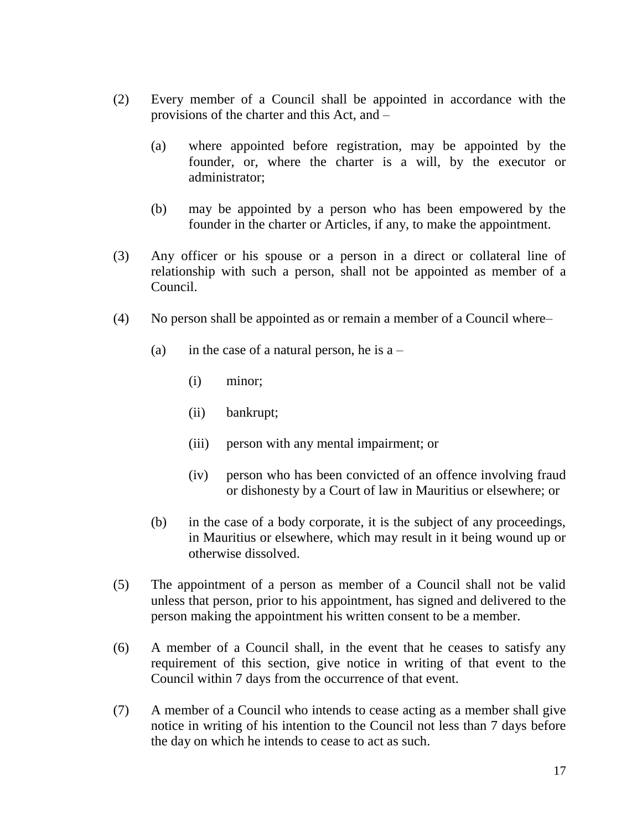- (2) Every member of a Council shall be appointed in accordance with the provisions of the charter and this Act, and –
	- (a) where appointed before registration, may be appointed by the founder, or, where the charter is a will, by the executor or administrator;
	- (b) may be appointed by a person who has been empowered by the founder in the charter or Articles, if any, to make the appointment.
- (3) Any officer or his spouse or a person in a direct or collateral line of relationship with such a person, shall not be appointed as member of a Council.
- (4) No person shall be appointed as or remain a member of a Council where–
	- (a) in the case of a natural person, he is  $a -$ 
		- (i) minor;
		- (ii) bankrupt;
		- (iii) person with any mental impairment; or
		- (iv) person who has been convicted of an offence involving fraud or dishonesty by a Court of law in Mauritius or elsewhere; or
	- (b) in the case of a body corporate, it is the subject of any proceedings, in Mauritius or elsewhere, which may result in it being wound up or otherwise dissolved.
- (5) The appointment of a person as member of a Council shall not be valid unless that person, prior to his appointment, has signed and delivered to the person making the appointment his written consent to be a member.
- (6) A member of a Council shall, in the event that he ceases to satisfy any requirement of this section, give notice in writing of that event to the Council within 7 days from the occurrence of that event.
- (7) A member of a Council who intends to cease acting as a member shall give notice in writing of his intention to the Council not less than 7 days before the day on which he intends to cease to act as such.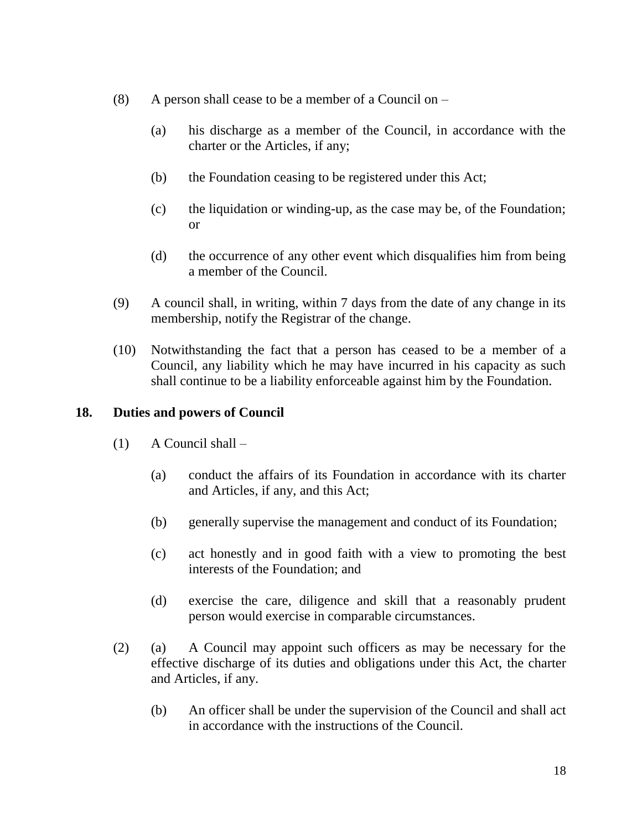- (8) A person shall cease to be a member of a Council on
	- (a) his discharge as a member of the Council, in accordance with the charter or the Articles, if any;
	- (b) the Foundation ceasing to be registered under this Act;
	- (c) the liquidation or winding-up, as the case may be, of the Foundation; or
	- (d) the occurrence of any other event which disqualifies him from being a member of the Council.
- (9) A council shall, in writing, within 7 days from the date of any change in its membership, notify the Registrar of the change.
- (10) Notwithstanding the fact that a person has ceased to be a member of a Council, any liability which he may have incurred in his capacity as such shall continue to be a liability enforceable against him by the Foundation.

### **18. Duties and powers of Council**

- (1) A Council shall
	- (a) conduct the affairs of its Foundation in accordance with its charter and Articles, if any, and this Act;
	- (b) generally supervise the management and conduct of its Foundation;
	- (c) act honestly and in good faith with a view to promoting the best interests of the Foundation; and
	- (d) exercise the care, diligence and skill that a reasonably prudent person would exercise in comparable circumstances.
- (2) (a) A Council may appoint such officers as may be necessary for the effective discharge of its duties and obligations under this Act, the charter and Articles, if any.
	- (b) An officer shall be under the supervision of the Council and shall act in accordance with the instructions of the Council.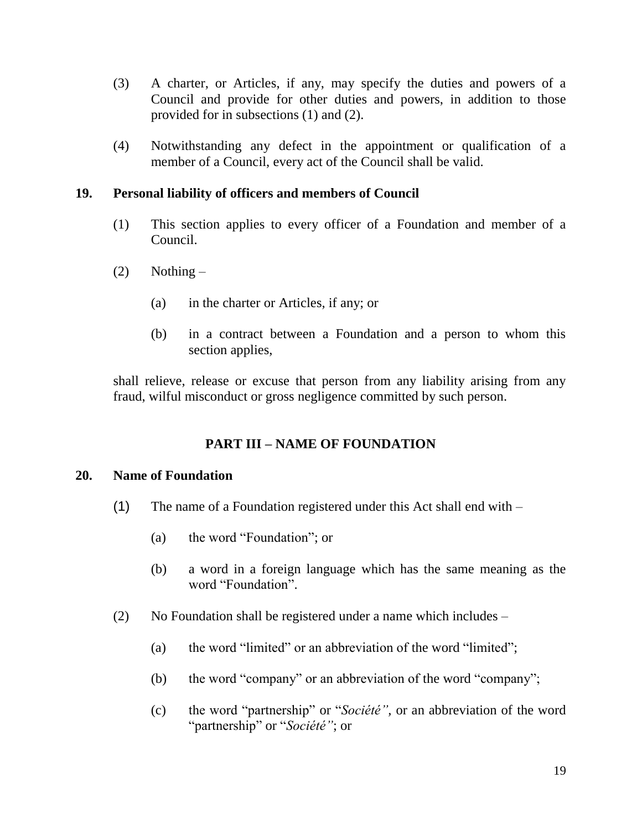- (3) A charter, or Articles, if any, may specify the duties and powers of a Council and provide for other duties and powers, in addition to those provided for in subsections (1) and (2).
- (4) Notwithstanding any defect in the appointment or qualification of a member of a Council, every act of the Council shall be valid.

### **19. Personal liability of officers and members of Council**

- (1) This section applies to every officer of a Foundation and member of a Council.
- $(2)$  Nothing
	- (a) in the charter or Articles, if any; or
	- (b) in a contract between a Foundation and a person to whom this section applies,

shall relieve, release or excuse that person from any liability arising from any fraud, wilful misconduct or gross negligence committed by such person.

### **PART III – NAME OF FOUNDATION**

#### **20. Name of Foundation**

- (1) The name of a Foundation registered under this Act shall end with
	- (a) the word "Foundation"; or
	- (b) a word in a foreign language which has the same meaning as the word "Foundation".
- (2) No Foundation shall be registered under a name which includes
	- (a) the word "limited" or an abbreviation of the word "limited";
	- (b) the word "company" or an abbreviation of the word "company";
	- (c) the word "partnership" or "*Société",* or an abbreviation of the word "partnership" or "*Société"*; or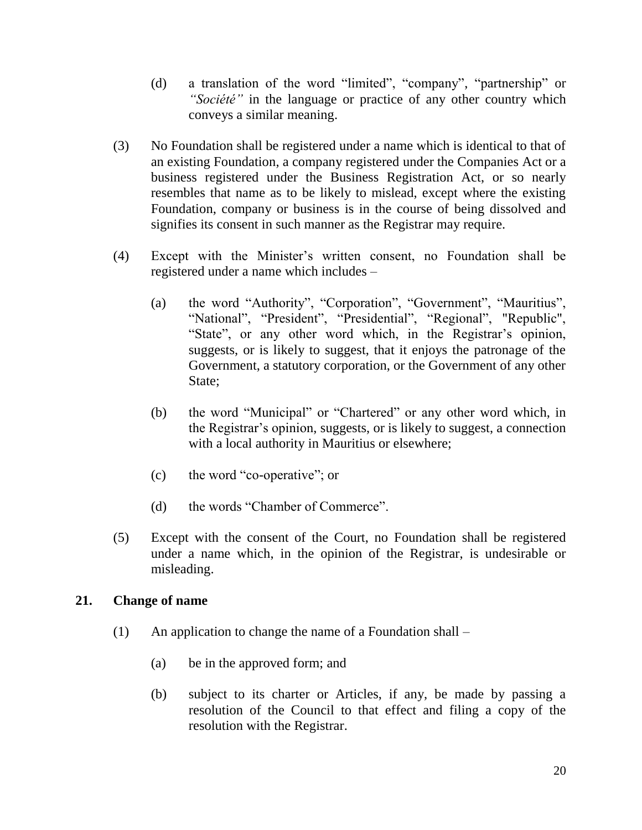- (d) a translation of the word "limited", "company", "partnership" or *"Société"* in the language or practice of any other country which conveys a similar meaning.
- (3) No Foundation shall be registered under a name which is identical to that of an existing Foundation, a company registered under the Companies Act or a business registered under the Business Registration Act, or so nearly resembles that name as to be likely to mislead, except where the existing Foundation, company or business is in the course of being dissolved and signifies its consent in such manner as the Registrar may require.
- (4) Except with the Minister's written consent, no Foundation shall be registered under a name which includes –
	- (a) the word "Authority", "Corporation", "Government", "Mauritius", "National", "President", "Presidential", "Regional", "Republic", "State", or any other word which, in the Registrar's opinion, suggests, or is likely to suggest, that it enjoys the patronage of the Government, a statutory corporation, or the Government of any other State;
	- (b) the word "Municipal" or "Chartered" or any other word which, in the Registrar's opinion, suggests, or is likely to suggest, a connection with a local authority in Mauritius or elsewhere;
	- (c) the word "co-operative"; or
	- (d) the words "Chamber of Commerce".
- (5) Except with the consent of the Court, no Foundation shall be registered under a name which, in the opinion of the Registrar, is undesirable or misleading.

### **21. Change of name**

- (1) An application to change the name of a Foundation shall
	- (a) be in the approved form; and
	- (b) subject to its charter or Articles, if any, be made by passing a resolution of the Council to that effect and filing a copy of the resolution with the Registrar.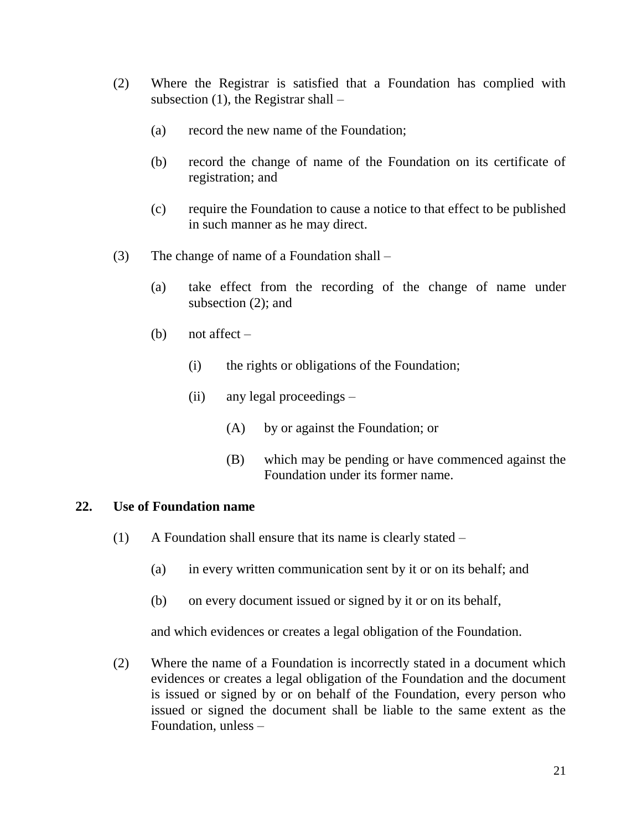- (2) Where the Registrar is satisfied that a Foundation has complied with subsection  $(1)$ , the Registrar shall –
	- (a) record the new name of the Foundation;
	- (b) record the change of name of the Foundation on its certificate of registration; and
	- (c) require the Foundation to cause a notice to that effect to be published in such manner as he may direct.
- (3) The change of name of a Foundation shall
	- (a) take effect from the recording of the change of name under subsection (2); and
	- (b) not affect  $-$ 
		- (i) the rights or obligations of the Foundation;
		- (ii) any legal proceedings
			- (A) by or against the Foundation; or
			- (B) which may be pending or have commenced against the Foundation under its former name.

#### **22. Use of Foundation name**

- (1) A Foundation shall ensure that its name is clearly stated
	- (a) in every written communication sent by it or on its behalf; and
	- (b) on every document issued or signed by it or on its behalf,

and which evidences or creates a legal obligation of the Foundation.

(2) Where the name of a Foundation is incorrectly stated in a document which evidences or creates a legal obligation of the Foundation and the document is issued or signed by or on behalf of the Foundation, every person who issued or signed the document shall be liable to the same extent as the Foundation, unless –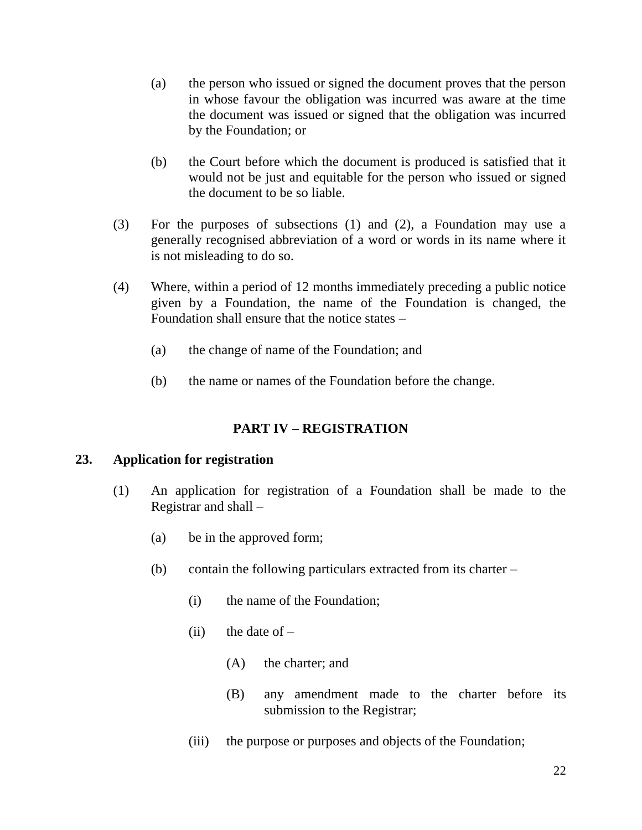- (a) the person who issued or signed the document proves that the person in whose favour the obligation was incurred was aware at the time the document was issued or signed that the obligation was incurred by the Foundation; or
- (b) the Court before which the document is produced is satisfied that it would not be just and equitable for the person who issued or signed the document to be so liable.
- (3) For the purposes of subsections (1) and (2), a Foundation may use a generally recognised abbreviation of a word or words in its name where it is not misleading to do so.
- (4) Where, within a period of 12 months immediately preceding a public notice given by a Foundation, the name of the Foundation is changed, the Foundation shall ensure that the notice states –
	- (a) the change of name of the Foundation; and
	- (b) the name or names of the Foundation before the change.

# **PART IV – REGISTRATION**

#### **23. Application for registration**

- (1) An application for registration of a Foundation shall be made to the Registrar and shall –
	- (a) be in the approved form;
	- (b) contain the following particulars extracted from its charter
		- (i) the name of the Foundation;
		- (ii) the date of  $-$ 
			- (A) the charter; and
			- (B) any amendment made to the charter before its submission to the Registrar;
		- (iii) the purpose or purposes and objects of the Foundation;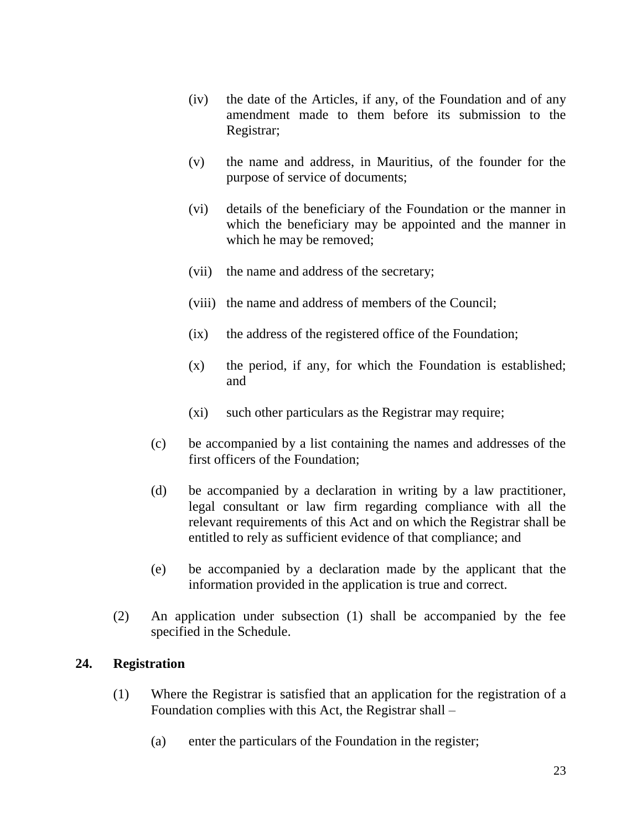- (iv) the date of the Articles, if any, of the Foundation and of any amendment made to them before its submission to the Registrar;
- (v) the name and address, in Mauritius, of the founder for the purpose of service of documents;
- (vi) details of the beneficiary of the Foundation or the manner in which the beneficiary may be appointed and the manner in which he may be removed;
- (vii) the name and address of the secretary;
- (viii) the name and address of members of the Council;
- (ix) the address of the registered office of the Foundation;
- (x) the period, if any, for which the Foundation is established; and
- (xi) such other particulars as the Registrar may require;
- (c) be accompanied by a list containing the names and addresses of the first officers of the Foundation;
- (d) be accompanied by a declaration in writing by a law practitioner, legal consultant or law firm regarding compliance with all the relevant requirements of this Act and on which the Registrar shall be entitled to rely as sufficient evidence of that compliance; and
- (e) be accompanied by a declaration made by the applicant that the information provided in the application is true and correct.
- (2) An application under subsection (1) shall be accompanied by the fee specified in the Schedule.

### **24. Registration**

- (1) Where the Registrar is satisfied that an application for the registration of a Foundation complies with this Act, the Registrar shall –
	- (a) enter the particulars of the Foundation in the register;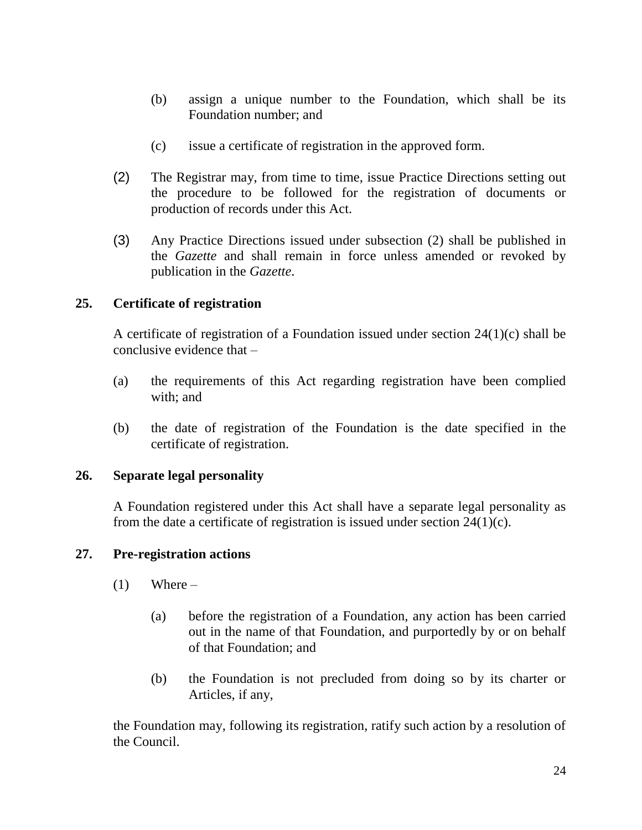- (b) assign a unique number to the Foundation, which shall be its Foundation number; and
- (c) issue a certificate of registration in the approved form.
- (2) The Registrar may, from time to time, issue Practice Directions setting out the procedure to be followed for the registration of documents or production of records under this Act.
- (3) Any Practice Directions issued under subsection (2) shall be published in the *Gazette* and shall remain in force unless amended or revoked by publication in the *Gazette*.

### **25. Certificate of registration**

A certificate of registration of a Foundation issued under section 24(1)(c) shall be conclusive evidence that –

- (a) the requirements of this Act regarding registration have been complied with; and
- (b) the date of registration of the Foundation is the date specified in the certificate of registration.

### **26. Separate legal personality**

A Foundation registered under this Act shall have a separate legal personality as from the date a certificate of registration is issued under section  $24(1)(c)$ .

### **27. Pre-registration actions**

- $(1)$  Where
	- (a) before the registration of a Foundation, any action has been carried out in the name of that Foundation, and purportedly by or on behalf of that Foundation; and
	- (b) the Foundation is not precluded from doing so by its charter or Articles, if any,

the Foundation may, following its registration, ratify such action by a resolution of the Council.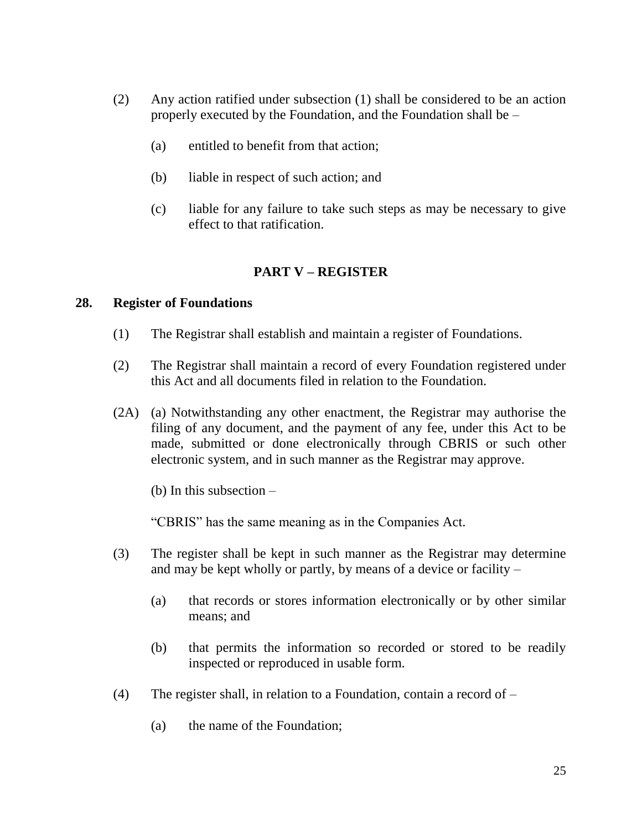- (2) Any action ratified under subsection (1) shall be considered to be an action properly executed by the Foundation, and the Foundation shall be –
	- (a) entitled to benefit from that action;
	- (b) liable in respect of such action; and
	- (c) liable for any failure to take such steps as may be necessary to give effect to that ratification.

### **PART V – REGISTER**

#### **28. Register of Foundations**

- (1) The Registrar shall establish and maintain a register of Foundations.
- (2) The Registrar shall maintain a record of every Foundation registered under this Act and all documents filed in relation to the Foundation.
- (2A) (a) Notwithstanding any other enactment, the Registrar may authorise the filing of any document, and the payment of any fee, under this Act to be made, submitted or done electronically through CBRIS or such other electronic system, and in such manner as the Registrar may approve.

(b) In this subsection –

"CBRIS" has the same meaning as in the Companies Act.

- (3) The register shall be kept in such manner as the Registrar may determine and may be kept wholly or partly, by means of a device or facility –
	- (a) that records or stores information electronically or by other similar means; and
	- (b) that permits the information so recorded or stored to be readily inspected or reproduced in usable form.
- (4) The register shall, in relation to a Foundation, contain a record of
	- (a) the name of the Foundation;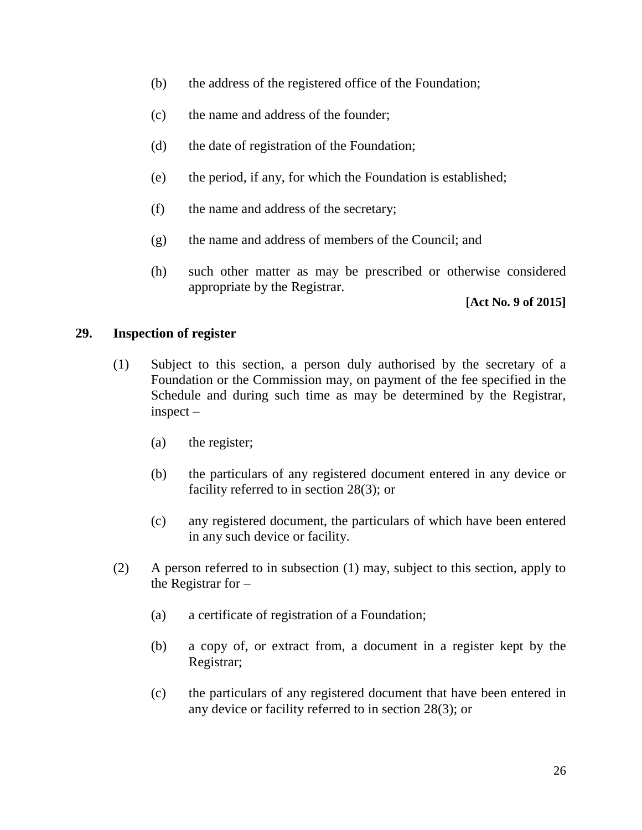- (b) the address of the registered office of the Foundation;
- (c) the name and address of the founder;
- (d) the date of registration of the Foundation;
- (e) the period, if any, for which the Foundation is established;
- (f) the name and address of the secretary;
- (g) the name and address of members of the Council; and
- (h) such other matter as may be prescribed or otherwise considered appropriate by the Registrar.

**[Act No. 9 of 2015]**

### **29. Inspection of register**

- (1) Subject to this section, a person duly authorised by the secretary of a Foundation or the Commission may, on payment of the fee specified in the Schedule and during such time as may be determined by the Registrar, inspect –
	- (a) the register;
	- (b) the particulars of any registered document entered in any device or facility referred to in section 28(3); or
	- (c) any registered document, the particulars of which have been entered in any such device or facility.
- (2) A person referred to in subsection (1) may, subject to this section, apply to the Registrar for –
	- (a) a certificate of registration of a Foundation;
	- (b) a copy of, or extract from, a document in a register kept by the Registrar;
	- (c) the particulars of any registered document that have been entered in any device or facility referred to in section 28(3); or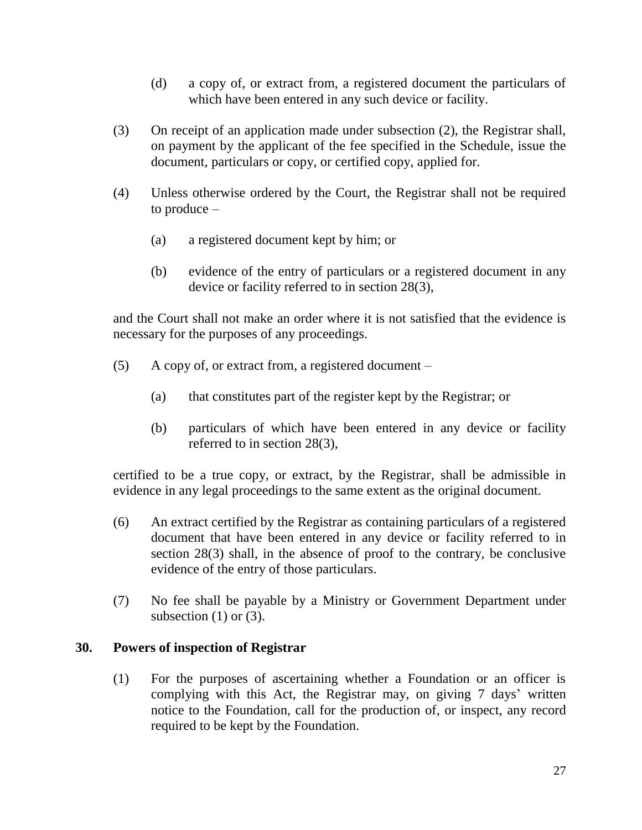- (d) a copy of, or extract from, a registered document the particulars of which have been entered in any such device or facility.
- (3) On receipt of an application made under subsection (2), the Registrar shall, on payment by the applicant of the fee specified in the Schedule, issue the document, particulars or copy, or certified copy, applied for.
- (4) Unless otherwise ordered by the Court, the Registrar shall not be required to produce –
	- (a) a registered document kept by him; or
	- (b) evidence of the entry of particulars or a registered document in any device or facility referred to in section 28(3),

and the Court shall not make an order where it is not satisfied that the evidence is necessary for the purposes of any proceedings.

- (5) A copy of, or extract from, a registered document
	- (a) that constitutes part of the register kept by the Registrar; or
	- (b) particulars of which have been entered in any device or facility referred to in section 28(3),

certified to be a true copy, or extract, by the Registrar, shall be admissible in evidence in any legal proceedings to the same extent as the original document.

- (6) An extract certified by the Registrar as containing particulars of a registered document that have been entered in any device or facility referred to in section 28(3) shall, in the absence of proof to the contrary, be conclusive evidence of the entry of those particulars.
- (7) No fee shall be payable by a Ministry or Government Department under subsection  $(1)$  or  $(3)$ .

### **30. Powers of inspection of Registrar**

(1) For the purposes of ascertaining whether a Foundation or an officer is complying with this Act, the Registrar may, on giving 7 days' written notice to the Foundation, call for the production of, or inspect, any record required to be kept by the Foundation.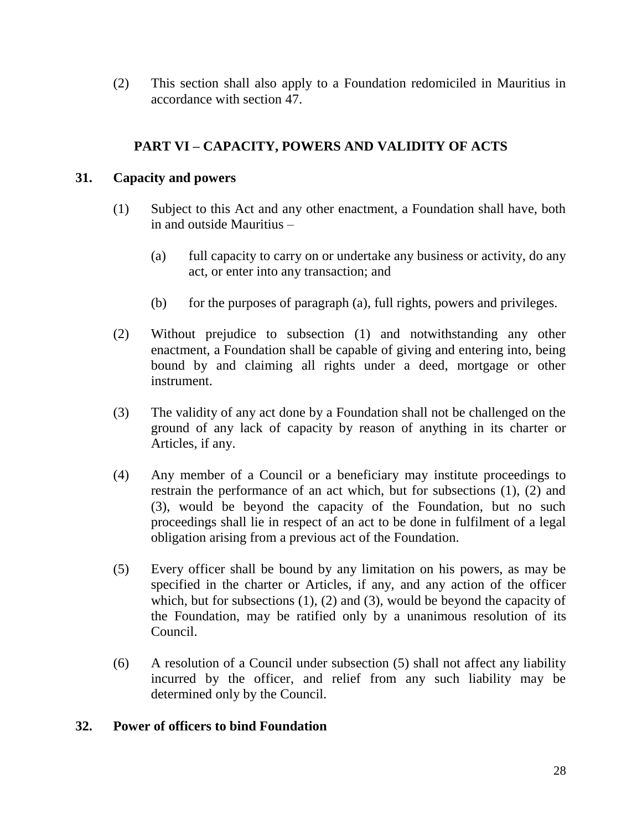(2) This section shall also apply to a Foundation redomiciled in Mauritius in accordance with section 47.

# **PART VI – CAPACITY, POWERS AND VALIDITY OF ACTS**

### **31. Capacity and powers**

- (1) Subject to this Act and any other enactment, a Foundation shall have, both in and outside Mauritius –
	- (a) full capacity to carry on or undertake any business or activity, do any act, or enter into any transaction; and
	- (b) for the purposes of paragraph (a), full rights, powers and privileges.
- (2) Without prejudice to subsection (1) and notwithstanding any other enactment, a Foundation shall be capable of giving and entering into, being bound by and claiming all rights under a deed, mortgage or other instrument.
- (3) The validity of any act done by a Foundation shall not be challenged on the ground of any lack of capacity by reason of anything in its charter or Articles, if any.
- (4) Any member of a Council or a beneficiary may institute proceedings to restrain the performance of an act which, but for subsections (1), (2) and (3), would be beyond the capacity of the Foundation, but no such proceedings shall lie in respect of an act to be done in fulfilment of a legal obligation arising from a previous act of the Foundation.
- (5) Every officer shall be bound by any limitation on his powers, as may be specified in the charter or Articles, if any, and any action of the officer which, but for subsections  $(1)$ ,  $(2)$  and  $(3)$ , would be beyond the capacity of the Foundation, may be ratified only by a unanimous resolution of its Council.
- (6) A resolution of a Council under subsection (5) shall not affect any liability incurred by the officer, and relief from any such liability may be determined only by the Council.

### **32. Power of officers to bind Foundation**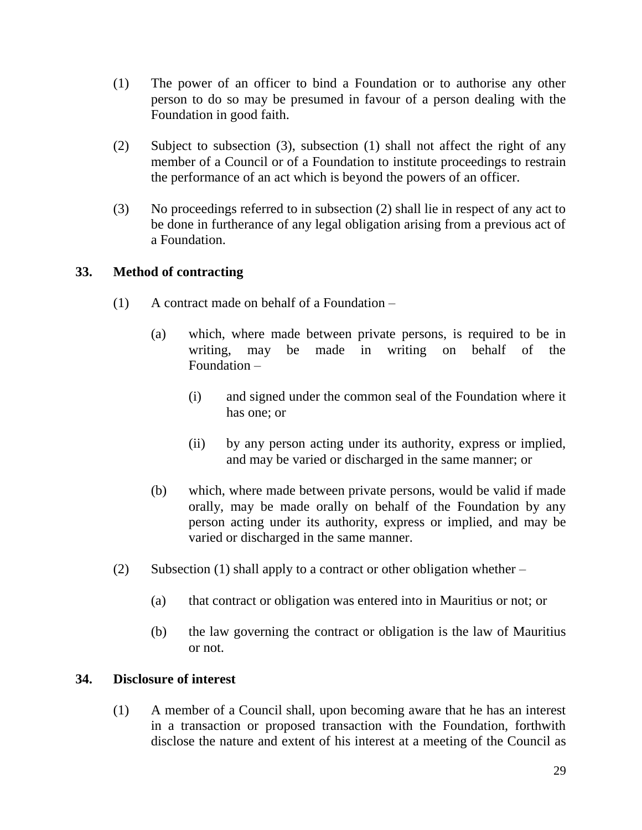- (1) The power of an officer to bind a Foundation or to authorise any other person to do so may be presumed in favour of a person dealing with the Foundation in good faith.
- (2) Subject to subsection (3), subsection (1) shall not affect the right of any member of a Council or of a Foundation to institute proceedings to restrain the performance of an act which is beyond the powers of an officer.
- (3) No proceedings referred to in subsection (2) shall lie in respect of any act to be done in furtherance of any legal obligation arising from a previous act of a Foundation.

### **33. Method of contracting**

- (1) A contract made on behalf of a Foundation
	- (a) which, where made between private persons, is required to be in writing, may be made in writing on behalf of the Foundation –
		- (i) and signed under the common seal of the Foundation where it has one; or
		- (ii) by any person acting under its authority, express or implied, and may be varied or discharged in the same manner; or
	- (b) which, where made between private persons, would be valid if made orally, may be made orally on behalf of the Foundation by any person acting under its authority, express or implied, and may be varied or discharged in the same manner.
- (2) Subsection (1) shall apply to a contract or other obligation whether  $-$ 
	- (a) that contract or obligation was entered into in Mauritius or not; or
	- (b) the law governing the contract or obligation is the law of Mauritius or not.

#### **34. Disclosure of interest**

(1) A member of a Council shall, upon becoming aware that he has an interest in a transaction or proposed transaction with the Foundation, forthwith disclose the nature and extent of his interest at a meeting of the Council as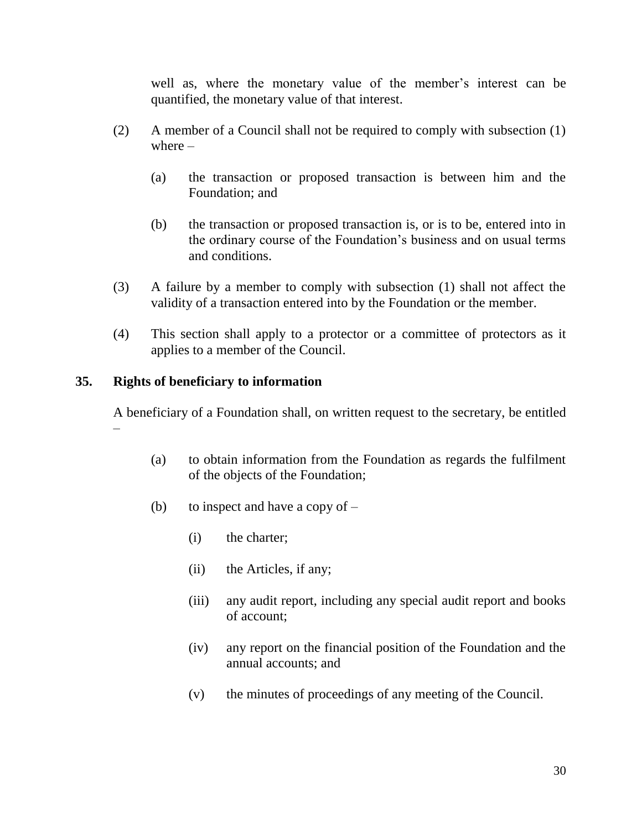well as, where the monetary value of the member's interest can be quantified, the monetary value of that interest.

- (2) A member of a Council shall not be required to comply with subsection (1) where –
	- (a) the transaction or proposed transaction is between him and the Foundation; and
	- (b) the transaction or proposed transaction is, or is to be, entered into in the ordinary course of the Foundation's business and on usual terms and conditions.
- (3) A failure by a member to comply with subsection (1) shall not affect the validity of a transaction entered into by the Foundation or the member.
- (4) This section shall apply to a protector or a committee of protectors as it applies to a member of the Council.

### **35. Rights of beneficiary to information**

A beneficiary of a Foundation shall, on written request to the secretary, be entitled –

- (a) to obtain information from the Foundation as regards the fulfilment of the objects of the Foundation;
- (b) to inspect and have a copy of  $-$ 
	- (i) the charter;
	- (ii) the Articles, if any;
	- (iii) any audit report, including any special audit report and books of account;
	- (iv) any report on the financial position of the Foundation and the annual accounts; and
	- (v) the minutes of proceedings of any meeting of the Council.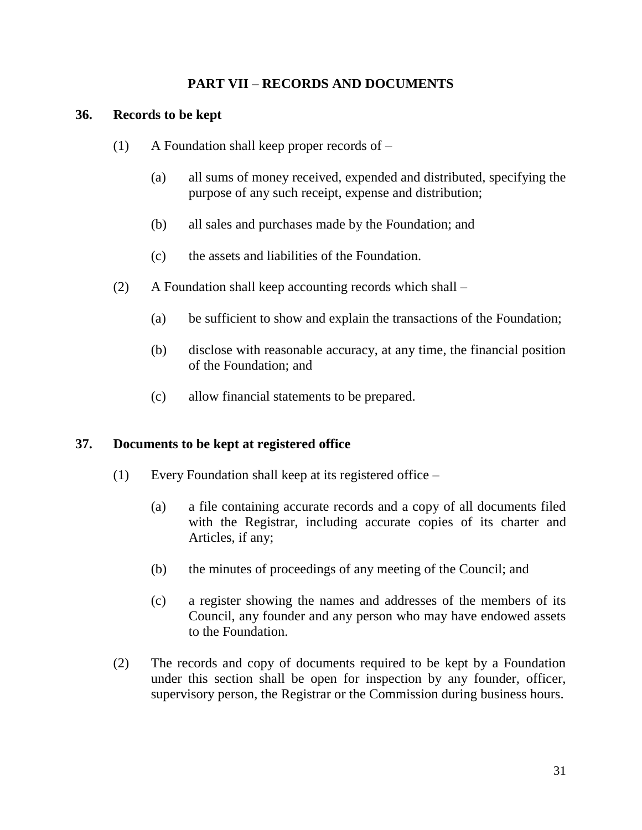### **PART VII – RECORDS AND DOCUMENTS**

#### **36. Records to be kept**

- (1) A Foundation shall keep proper records of
	- (a) all sums of money received, expended and distributed, specifying the purpose of any such receipt, expense and distribution;
	- (b) all sales and purchases made by the Foundation; and
	- (c) the assets and liabilities of the Foundation.
- (2) A Foundation shall keep accounting records which shall
	- (a) be sufficient to show and explain the transactions of the Foundation;
	- (b) disclose with reasonable accuracy, at any time, the financial position of the Foundation; and
	- (c) allow financial statements to be prepared.

#### **37. Documents to be kept at registered office**

- (1) Every Foundation shall keep at its registered office
	- (a) a file containing accurate records and a copy of all documents filed with the Registrar, including accurate copies of its charter and Articles, if any;
	- (b) the minutes of proceedings of any meeting of the Council; and
	- (c) a register showing the names and addresses of the members of its Council, any founder and any person who may have endowed assets to the Foundation.
- (2) The records and copy of documents required to be kept by a Foundation under this section shall be open for inspection by any founder, officer, supervisory person, the Registrar or the Commission during business hours.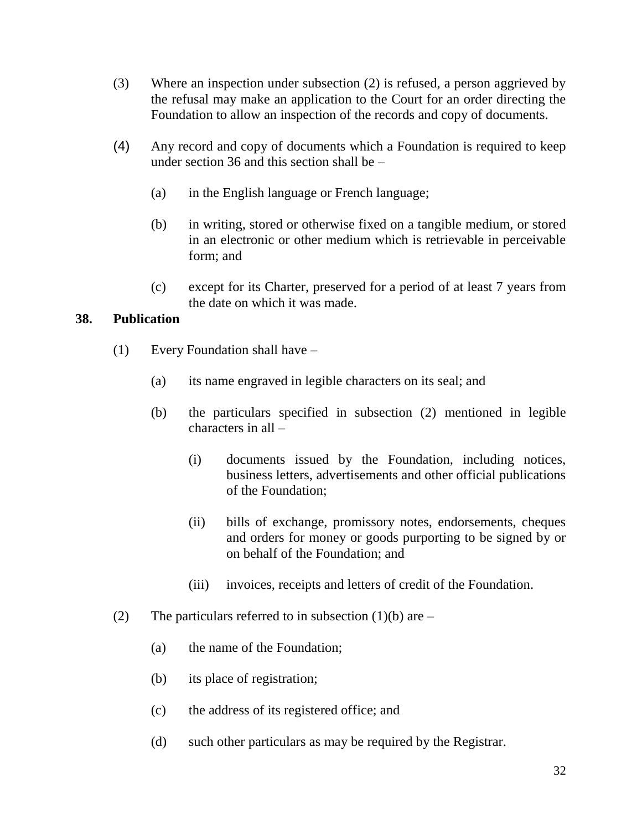- (3) Where an inspection under subsection (2) is refused, a person aggrieved by the refusal may make an application to the Court for an order directing the Foundation to allow an inspection of the records and copy of documents.
- (4) Any record and copy of documents which a Foundation is required to keep under section 36 and this section shall be –
	- (a) in the English language or French language;
	- (b) in writing, stored or otherwise fixed on a tangible medium, or stored in an electronic or other medium which is retrievable in perceivable form; and
	- (c) except for its Charter, preserved for a period of at least 7 years from the date on which it was made.

### **38. Publication**

- (1) Every Foundation shall have
	- (a) its name engraved in legible characters on its seal; and
	- (b) the particulars specified in subsection (2) mentioned in legible characters in all –
		- (i) documents issued by the Foundation, including notices, business letters, advertisements and other official publications of the Foundation;
		- (ii) bills of exchange, promissory notes, endorsements, cheques and orders for money or goods purporting to be signed by or on behalf of the Foundation; and
		- (iii) invoices, receipts and letters of credit of the Foundation.
- (2) The particulars referred to in subsection (1)(b) are  $-$ 
	- (a) the name of the Foundation;
	- (b) its place of registration;
	- (c) the address of its registered office; and
	- (d) such other particulars as may be required by the Registrar.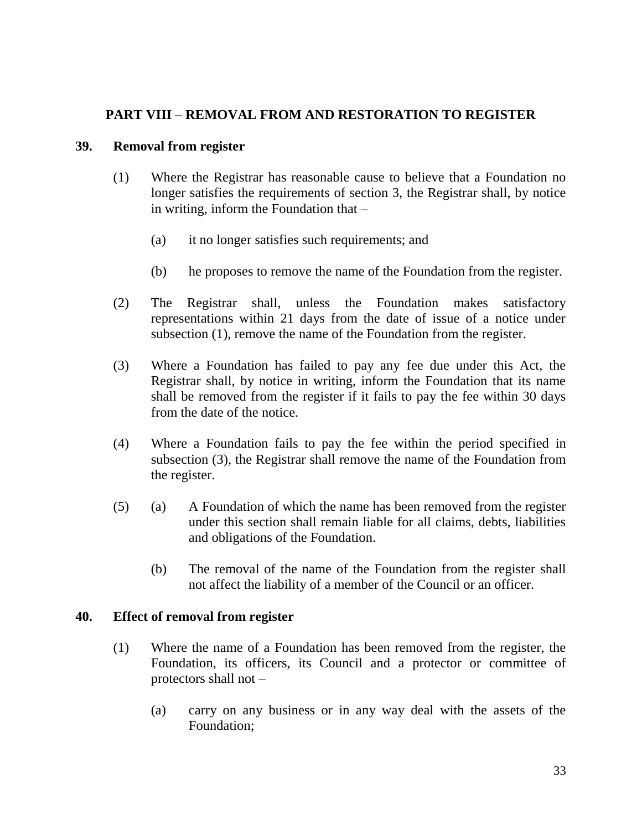### **PART VIII – REMOVAL FROM AND RESTORATION TO REGISTER**

### **39. Removal from register**

- (1) Where the Registrar has reasonable cause to believe that a Foundation no longer satisfies the requirements of section 3, the Registrar shall, by notice in writing, inform the Foundation that –
	- (a) it no longer satisfies such requirements; and
	- (b) he proposes to remove the name of the Foundation from the register.
- (2) The Registrar shall, unless the Foundation makes satisfactory representations within 21 days from the date of issue of a notice under subsection (1), remove the name of the Foundation from the register.
- (3) Where a Foundation has failed to pay any fee due under this Act, the Registrar shall, by notice in writing, inform the Foundation that its name shall be removed from the register if it fails to pay the fee within 30 days from the date of the notice.
- (4) Where a Foundation fails to pay the fee within the period specified in subsection (3), the Registrar shall remove the name of the Foundation from the register.
- (5) (a) A Foundation of which the name has been removed from the register under this section shall remain liable for all claims, debts, liabilities and obligations of the Foundation.
	- (b) The removal of the name of the Foundation from the register shall not affect the liability of a member of the Council or an officer.

#### **40. Effect of removal from register**

- (1) Where the name of a Foundation has been removed from the register, the Foundation, its officers, its Council and a protector or committee of protectors shall not –
	- (a) carry on any business or in any way deal with the assets of the Foundation;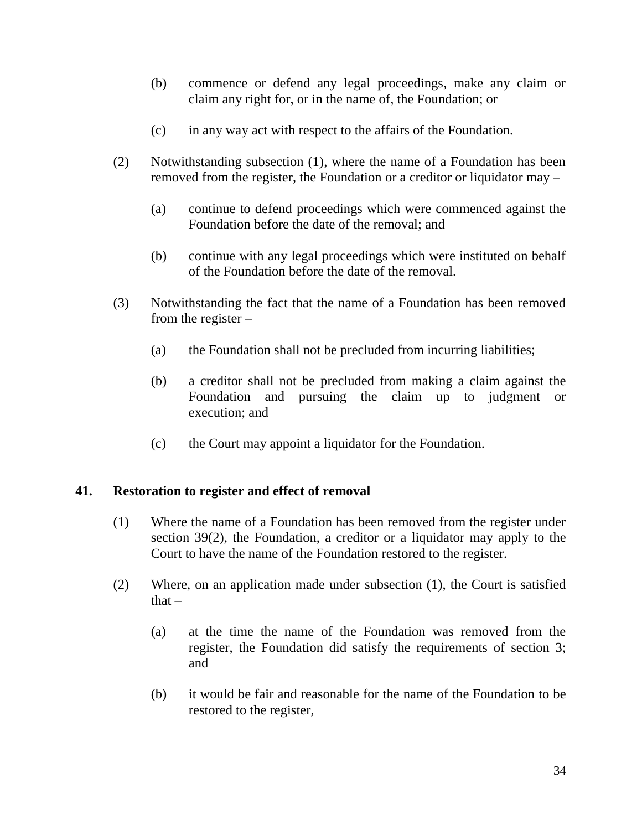- (b) commence or defend any legal proceedings, make any claim or claim any right for, or in the name of, the Foundation; or
- (c) in any way act with respect to the affairs of the Foundation.
- (2) Notwithstanding subsection (1), where the name of a Foundation has been removed from the register, the Foundation or a creditor or liquidator may –
	- (a) continue to defend proceedings which were commenced against the Foundation before the date of the removal; and
	- (b) continue with any legal proceedings which were instituted on behalf of the Foundation before the date of the removal.
- (3) Notwithstanding the fact that the name of a Foundation has been removed from the register –
	- (a) the Foundation shall not be precluded from incurring liabilities;
	- (b) a creditor shall not be precluded from making a claim against the Foundation and pursuing the claim up to judgment or execution; and
	- (c) the Court may appoint a liquidator for the Foundation.

#### **41. Restoration to register and effect of removal**

- (1) Where the name of a Foundation has been removed from the register under section 39(2), the Foundation, a creditor or a liquidator may apply to the Court to have the name of the Foundation restored to the register.
- (2) Where, on an application made under subsection (1), the Court is satisfied that  $-$ 
	- (a) at the time the name of the Foundation was removed from the register, the Foundation did satisfy the requirements of section 3; and
	- (b) it would be fair and reasonable for the name of the Foundation to be restored to the register,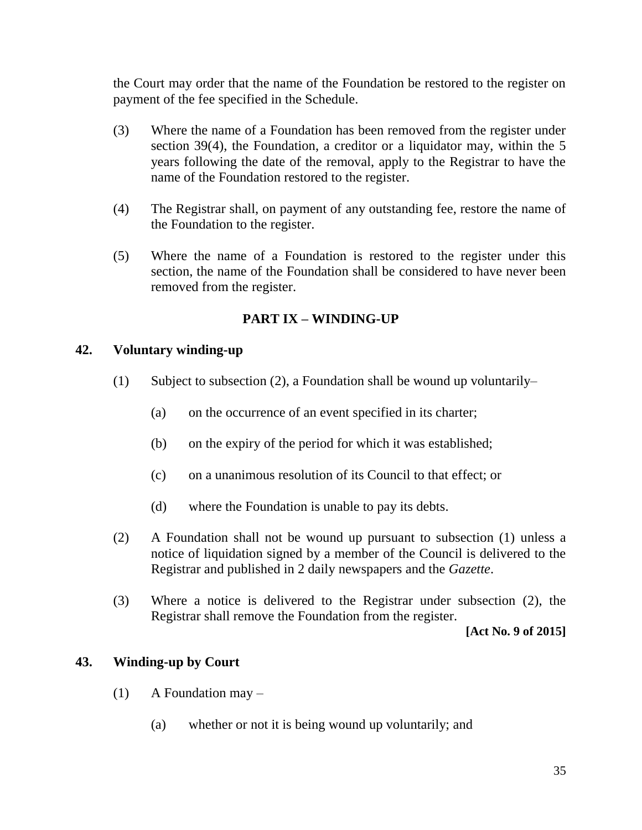the Court may order that the name of the Foundation be restored to the register on payment of the fee specified in the Schedule.

- (3) Where the name of a Foundation has been removed from the register under section 39(4), the Foundation, a creditor or a liquidator may, within the 5 years following the date of the removal, apply to the Registrar to have the name of the Foundation restored to the register.
- (4) The Registrar shall, on payment of any outstanding fee, restore the name of the Foundation to the register.
- (5) Where the name of a Foundation is restored to the register under this section, the name of the Foundation shall be considered to have never been removed from the register.

# **PART IX – WINDING-UP**

### **42. Voluntary winding-up**

- (1) Subject to subsection (2), a Foundation shall be wound up voluntarily–
	- (a) on the occurrence of an event specified in its charter;
	- (b) on the expiry of the period for which it was established;
	- (c) on a unanimous resolution of its Council to that effect; or
	- (d) where the Foundation is unable to pay its debts.
- (2) A Foundation shall not be wound up pursuant to subsection (1) unless a notice of liquidation signed by a member of the Council is delivered to the Registrar and published in 2 daily newspapers and the *Gazette*.
- (3) Where a notice is delivered to the Registrar under subsection (2), the Registrar shall remove the Foundation from the register.

**[Act No. 9 of 2015]**

### **43. Winding-up by Court**

- $(1)$  A Foundation may
	- (a) whether or not it is being wound up voluntarily; and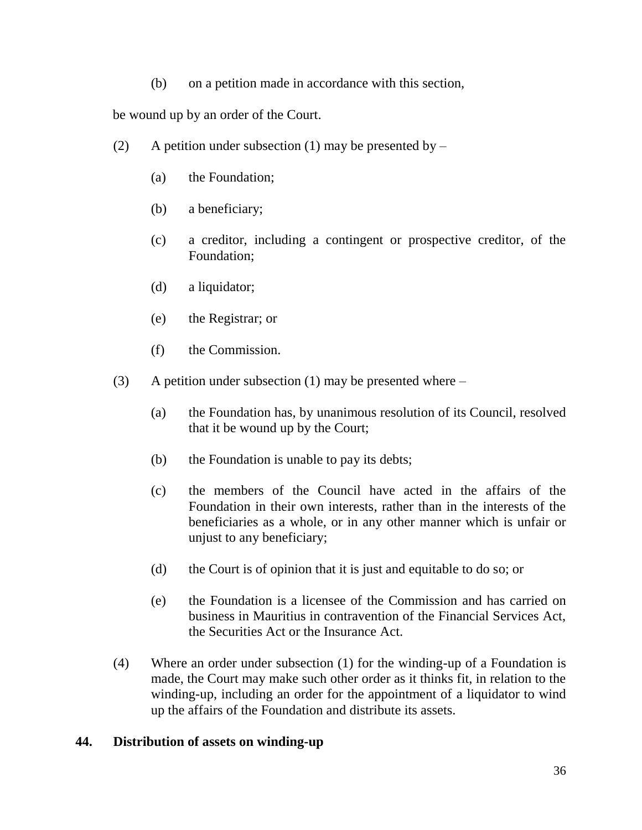(b) on a petition made in accordance with this section,

be wound up by an order of the Court.

- (2) A petition under subsection (1) may be presented by  $-$ 
	- (a) the Foundation;
	- (b) a beneficiary;
	- (c) a creditor, including a contingent or prospective creditor, of the Foundation;
	- (d) a liquidator;
	- (e) the Registrar; or
	- (f) the Commission.
- (3) A petition under subsection (1) may be presented where
	- (a) the Foundation has, by unanimous resolution of its Council, resolved that it be wound up by the Court;
	- (b) the Foundation is unable to pay its debts;
	- (c) the members of the Council have acted in the affairs of the Foundation in their own interests, rather than in the interests of the beneficiaries as a whole, or in any other manner which is unfair or unjust to any beneficiary;
	- (d) the Court is of opinion that it is just and equitable to do so; or
	- (e) the Foundation is a licensee of the Commission and has carried on business in Mauritius in contravention of the Financial Services Act, the Securities Act or the Insurance Act.
- (4) Where an order under subsection (1) for the winding-up of a Foundation is made, the Court may make such other order as it thinks fit, in relation to the winding-up, including an order for the appointment of a liquidator to wind up the affairs of the Foundation and distribute its assets.

### **44. Distribution of assets on winding-up**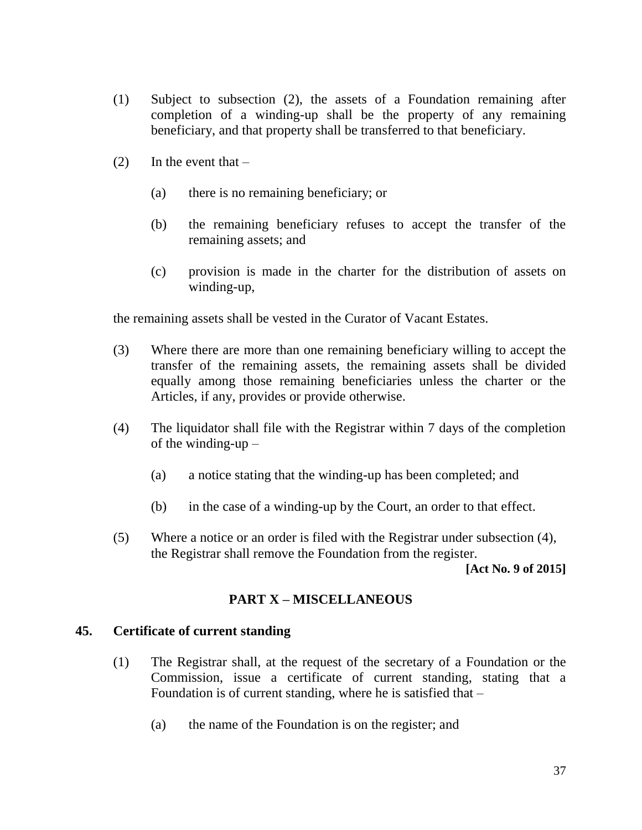- (1) Subject to subsection (2), the assets of a Foundation remaining after completion of a winding-up shall be the property of any remaining beneficiary, and that property shall be transferred to that beneficiary.
- (2) In the event that  $-$ 
	- (a) there is no remaining beneficiary; or
	- (b) the remaining beneficiary refuses to accept the transfer of the remaining assets; and
	- (c) provision is made in the charter for the distribution of assets on winding-up,

the remaining assets shall be vested in the Curator of Vacant Estates.

- (3) Where there are more than one remaining beneficiary willing to accept the transfer of the remaining assets, the remaining assets shall be divided equally among those remaining beneficiaries unless the charter or the Articles, if any, provides or provide otherwise.
- (4) The liquidator shall file with the Registrar within 7 days of the completion of the winding-up –
	- (a) a notice stating that the winding-up has been completed; and
	- (b) in the case of a winding-up by the Court, an order to that effect.
- (5) Where a notice or an order is filed with the Registrar under subsection (4), the Registrar shall remove the Foundation from the register.

**[Act No. 9 of 2015]**

### **PART X – MISCELLANEOUS**

### **45. Certificate of current standing**

- (1) The Registrar shall, at the request of the secretary of a Foundation or the Commission, issue a certificate of current standing, stating that a Foundation is of current standing, where he is satisfied that –
	- (a) the name of the Foundation is on the register; and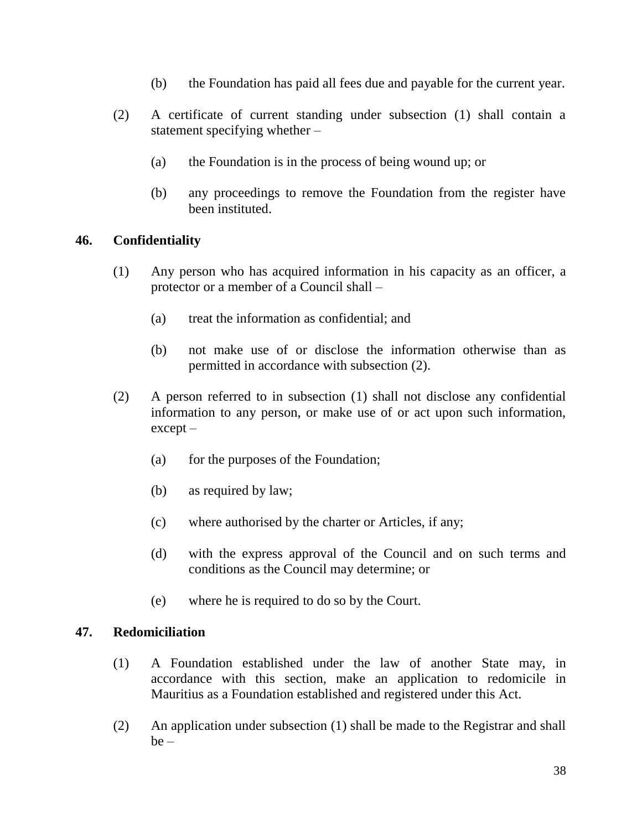- (b) the Foundation has paid all fees due and payable for the current year.
- (2) A certificate of current standing under subsection (1) shall contain a statement specifying whether –
	- (a) the Foundation is in the process of being wound up; or
	- (b) any proceedings to remove the Foundation from the register have been instituted.

### **46. Confidentiality**

- (1) Any person who has acquired information in his capacity as an officer, a protector or a member of a Council shall –
	- (a) treat the information as confidential; and
	- (b) not make use of or disclose the information otherwise than as permitted in accordance with subsection (2).
- (2) A person referred to in subsection (1) shall not disclose any confidential information to any person, or make use of or act upon such information, except –
	- (a) for the purposes of the Foundation;
	- (b) as required by law;
	- (c) where authorised by the charter or Articles, if any;
	- (d) with the express approval of the Council and on such terms and conditions as the Council may determine; or
	- (e) where he is required to do so by the Court.

#### **47. Redomiciliation**

- (1) A Foundation established under the law of another State may, in accordance with this section, make an application to redomicile in Mauritius as a Foundation established and registered under this Act.
- (2) An application under subsection (1) shall be made to the Registrar and shall  $be -$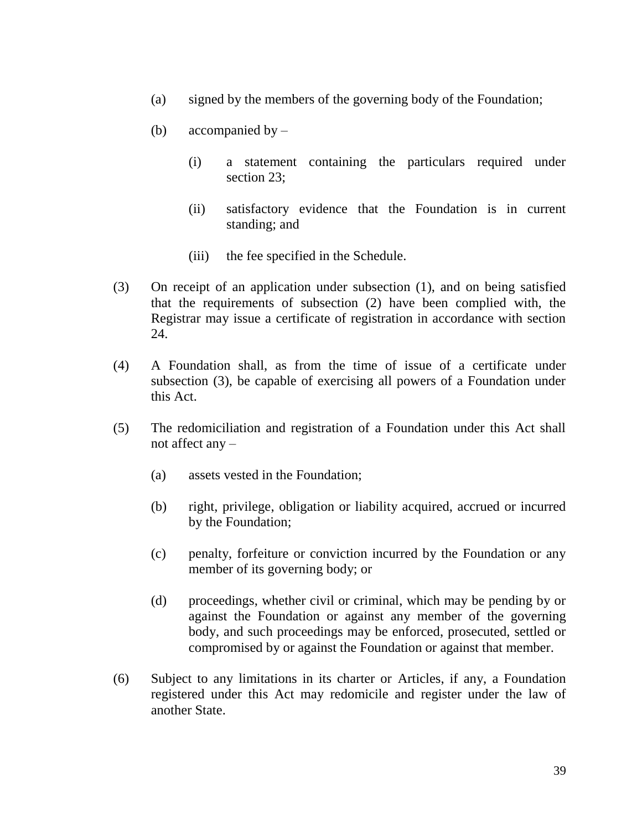- (a) signed by the members of the governing body of the Foundation;
- (b) accompanied by  $-$ 
	- (i) a statement containing the particulars required under section 23;
	- (ii) satisfactory evidence that the Foundation is in current standing; and
	- (iii) the fee specified in the Schedule.
- (3) On receipt of an application under subsection (1), and on being satisfied that the requirements of subsection (2) have been complied with, the Registrar may issue a certificate of registration in accordance with section 24.
- (4) A Foundation shall, as from the time of issue of a certificate under subsection (3), be capable of exercising all powers of a Foundation under this Act.
- (5) The redomiciliation and registration of a Foundation under this Act shall not affect any –
	- (a) assets vested in the Foundation;
	- (b) right, privilege, obligation or liability acquired, accrued or incurred by the Foundation;
	- (c) penalty, forfeiture or conviction incurred by the Foundation or any member of its governing body; or
	- (d) proceedings, whether civil or criminal, which may be pending by or against the Foundation or against any member of the governing body, and such proceedings may be enforced, prosecuted, settled or compromised by or against the Foundation or against that member.
- (6) Subject to any limitations in its charter or Articles, if any, a Foundation registered under this Act may redomicile and register under the law of another State.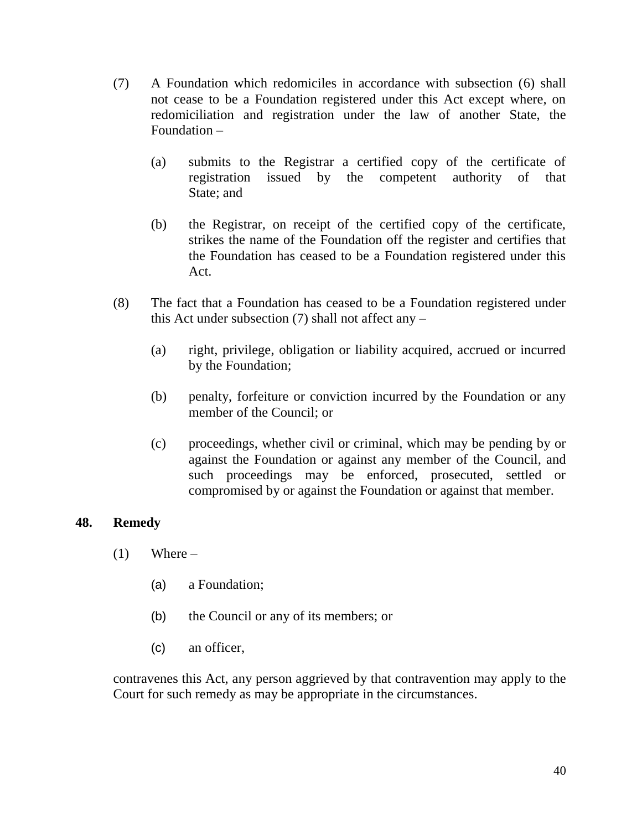- (7) A Foundation which redomiciles in accordance with subsection (6) shall not cease to be a Foundation registered under this Act except where, on redomiciliation and registration under the law of another State, the Foundation –
	- (a) submits to the Registrar a certified copy of the certificate of registration issued by the competent authority of that State; and
	- (b) the Registrar, on receipt of the certified copy of the certificate, strikes the name of the Foundation off the register and certifies that the Foundation has ceased to be a Foundation registered under this Act.
- (8) The fact that a Foundation has ceased to be a Foundation registered under this Act under subsection  $(7)$  shall not affect any –
	- (a) right, privilege, obligation or liability acquired, accrued or incurred by the Foundation;
	- (b) penalty, forfeiture or conviction incurred by the Foundation or any member of the Council; or
	- (c) proceedings, whether civil or criminal, which may be pending by or against the Foundation or against any member of the Council, and such proceedings may be enforced, prosecuted, settled or compromised by or against the Foundation or against that member.

### **48. Remedy**

- $(1)$  Where
	- (a) a Foundation;
	- (b) the Council or any of its members; or
	- (c) an officer,

contravenes this Act, any person aggrieved by that contravention may apply to the Court for such remedy as may be appropriate in the circumstances.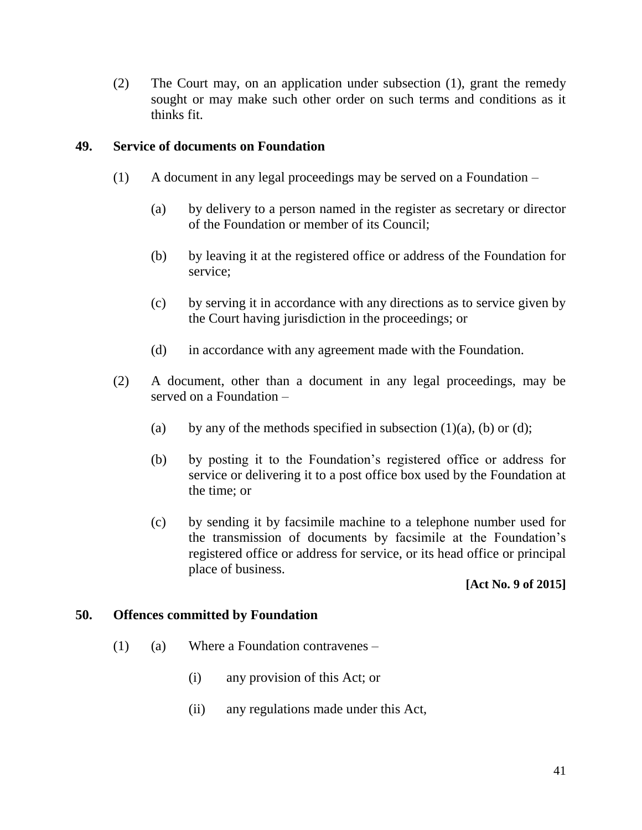(2) The Court may, on an application under subsection (1), grant the remedy sought or may make such other order on such terms and conditions as it thinks fit.

#### **49. Service of documents on Foundation**

- (1) A document in any legal proceedings may be served on a Foundation
	- (a) by delivery to a person named in the register as secretary or director of the Foundation or member of its Council;
	- (b) by leaving it at the registered office or address of the Foundation for service;
	- (c) by serving it in accordance with any directions as to service given by the Court having jurisdiction in the proceedings; or
	- (d) in accordance with any agreement made with the Foundation.
- (2) A document, other than a document in any legal proceedings, may be served on a Foundation –
	- (a) by any of the methods specified in subsection  $(1)(a)$ ,  $(b)$  or  $(d)$ ;
	- (b) by posting it to the Foundation's registered office or address for service or delivering it to a post office box used by the Foundation at the time; or
	- (c) by sending it by facsimile machine to a telephone number used for the transmission of documents by facsimile at the Foundation's registered office or address for service, or its head office or principal place of business.

#### **[Act No. 9 of 2015]**

#### **50. Offences committed by Foundation**

- (1) (a) Where a Foundation contravenes
	- (i) any provision of this Act; or
	- (ii) any regulations made under this Act,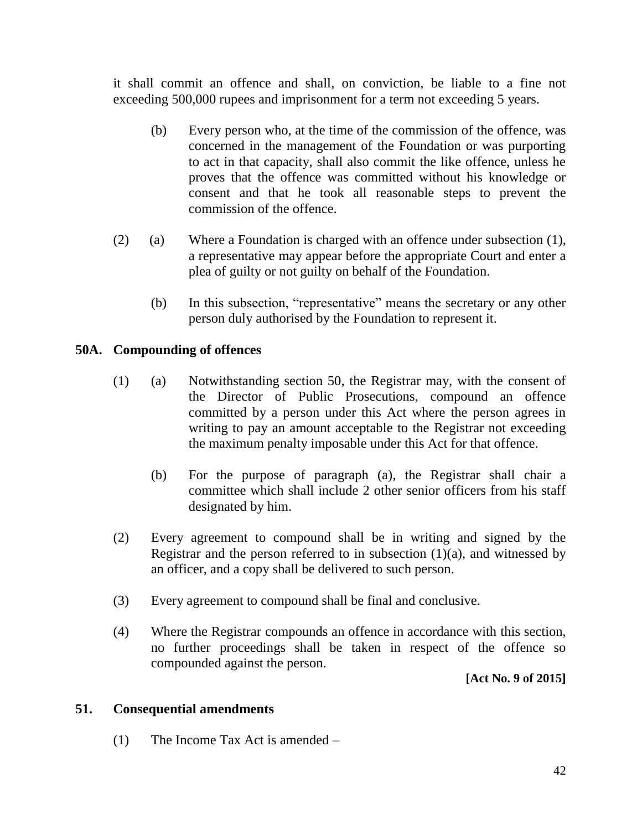it shall commit an offence and shall, on conviction, be liable to a fine not exceeding 500,000 rupees and imprisonment for a term not exceeding 5 years.

- (b) Every person who, at the time of the commission of the offence, was concerned in the management of the Foundation or was purporting to act in that capacity, shall also commit the like offence, unless he proves that the offence was committed without his knowledge or consent and that he took all reasonable steps to prevent the commission of the offence.
- (2) (a) Where a Foundation is charged with an offence under subsection (1), a representative may appear before the appropriate Court and enter a plea of guilty or not guilty on behalf of the Foundation.
	- (b) In this subsection, "representative" means the secretary or any other person duly authorised by the Foundation to represent it.

### **50A. Compounding of offences**

- (1) (a) Notwithstanding section 50, the Registrar may, with the consent of the Director of Public Prosecutions, compound an offence committed by a person under this Act where the person agrees in writing to pay an amount acceptable to the Registrar not exceeding the maximum penalty imposable under this Act for that offence.
	- (b) For the purpose of paragraph (a), the Registrar shall chair a committee which shall include 2 other senior officers from his staff designated by him.
- (2) Every agreement to compound shall be in writing and signed by the Registrar and the person referred to in subsection  $(1)(a)$ , and witnessed by an officer, and a copy shall be delivered to such person.
- (3) Every agreement to compound shall be final and conclusive.
- (4) Where the Registrar compounds an offence in accordance with this section, no further proceedings shall be taken in respect of the offence so compounded against the person.

**[Act No. 9 of 2015]**

### **51. Consequential amendments**

(1) The Income Tax Act is amended –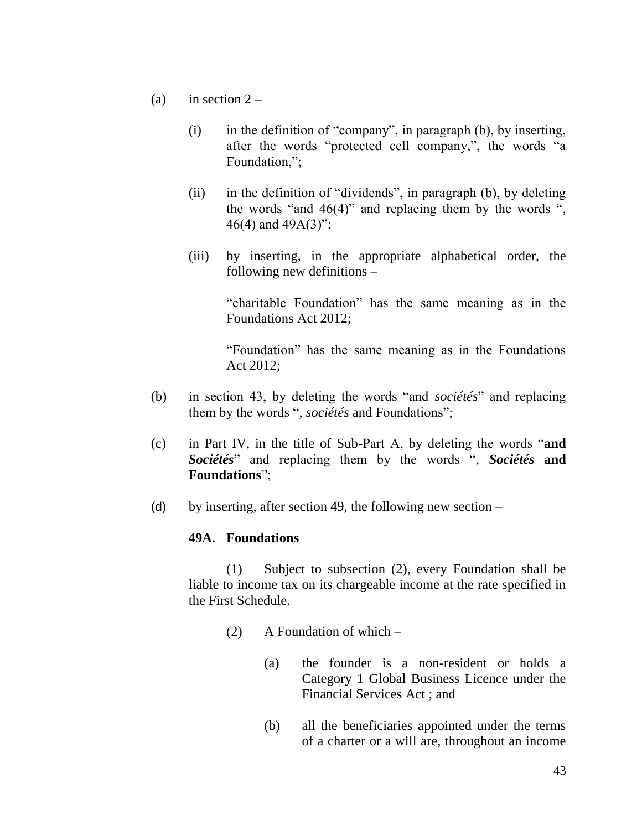- (a) in section  $2 -$ 
	- (i) in the definition of "company", in paragraph (b), by inserting, after the words "protected cell company,", the words "a Foundation,":
	- (ii) in the definition of "dividends", in paragraph (b), by deleting the words "and  $46(4)$ " and replacing them by the words ", 46(4) and 49A(3)";
	- (iii) by inserting, in the appropriate alphabetical order, the following new definitions –

"charitable Foundation" has the same meaning as in the Foundations Act 2012;

"Foundation" has the same meaning as in the Foundations Act 2012;

- (b) in section 43, by deleting the words "and *sociétés*" and replacing them by the words ", *sociétés* and Foundations";
- (c) in Part IV, in the title of Sub-Part A, by deleting the words "**and**  *Sociétés*" and replacing them by the words ", *Sociétés* **and Foundations**";
- (d) by inserting, after section 49, the following new section  $-$

### **49A. Foundations**

(1) Subject to subsection (2), every Foundation shall be liable to income tax on its chargeable income at the rate specified in the First Schedule.

- (2) A Foundation of which
	- (a) the founder is a non-resident or holds a Category 1 Global Business Licence under the Financial Services Act ; and
	- (b) all the beneficiaries appointed under the terms of a charter or a will are, throughout an income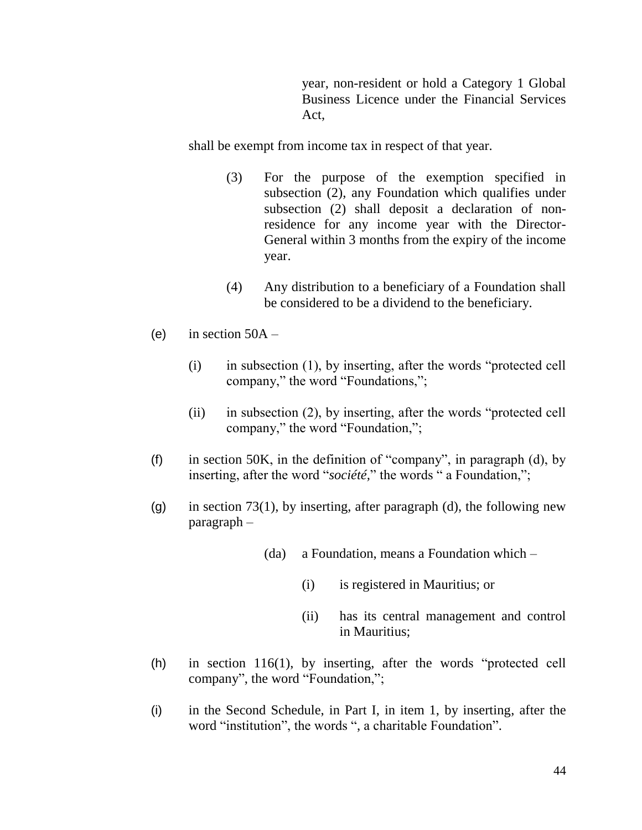year, non-resident or hold a Category 1 Global Business Licence under the Financial Services Act,

shall be exempt from income tax in respect of that year.

- (3) For the purpose of the exemption specified in subsection (2), any Foundation which qualifies under subsection (2) shall deposit a declaration of nonresidence for any income year with the Director-General within 3 months from the expiry of the income year.
- (4) Any distribution to a beneficiary of a Foundation shall be considered to be a dividend to the beneficiary.
- (e) in section  $50A -$ 
	- (i) in subsection (1), by inserting, after the words "protected cell company," the word "Foundations,";
	- (ii) in subsection (2), by inserting, after the words "protected cell company," the word "Foundation,";
- (f) in section 50K, in the definition of "company", in paragraph  $(d)$ , by inserting, after the word "*société*," the words " a Foundation,";
- (g) in section 73(1), by inserting, after paragraph (d), the following new paragraph –
	- (da) a Foundation, means a Foundation which
		- (i) is registered in Mauritius; or
		- (ii) has its central management and control in Mauritius;
- (h) in section 116(1), by inserting, after the words "protected cell company", the word "Foundation,";
- (i) in the Second Schedule, in Part I, in item 1, by inserting, after the word "institution", the words ", a charitable Foundation".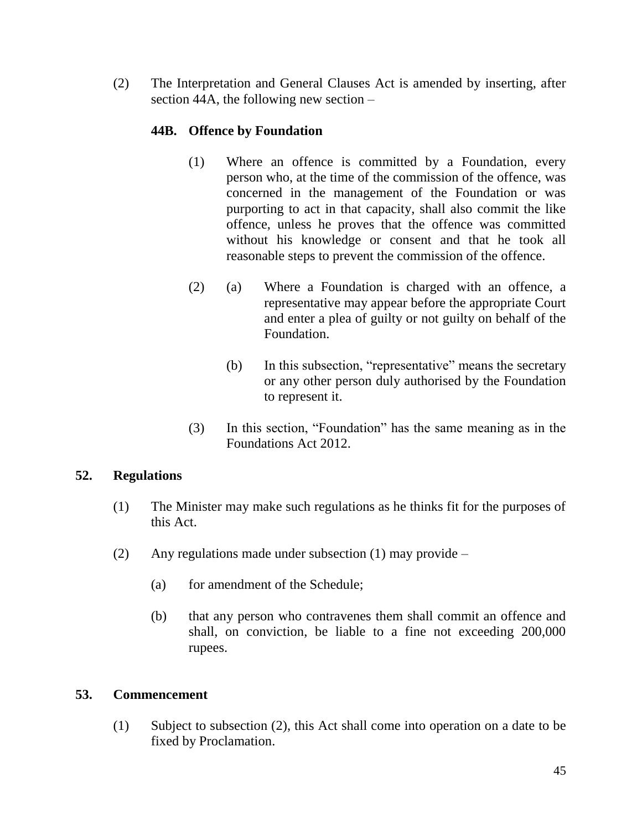(2) The Interpretation and General Clauses Act is amended by inserting, after section 44A, the following new section –

### **44B. Offence by Foundation**

- (1) Where an offence is committed by a Foundation, every person who, at the time of the commission of the offence, was concerned in the management of the Foundation or was purporting to act in that capacity, shall also commit the like offence, unless he proves that the offence was committed without his knowledge or consent and that he took all reasonable steps to prevent the commission of the offence.
- (2) (a) Where a Foundation is charged with an offence, a representative may appear before the appropriate Court and enter a plea of guilty or not guilty on behalf of the Foundation.
	- (b) In this subsection, "representative" means the secretary or any other person duly authorised by the Foundation to represent it.
- (3) In this section, "Foundation" has the same meaning as in the Foundations Act 2012.

### **52. Regulations**

- (1) The Minister may make such regulations as he thinks fit for the purposes of this Act.
- (2) Any regulations made under subsection (1) may provide
	- (a) for amendment of the Schedule;
	- (b) that any person who contravenes them shall commit an offence and shall, on conviction, be liable to a fine not exceeding 200,000 rupees.

### **53. Commencement**

(1) Subject to subsection (2), this Act shall come into operation on a date to be fixed by Proclamation.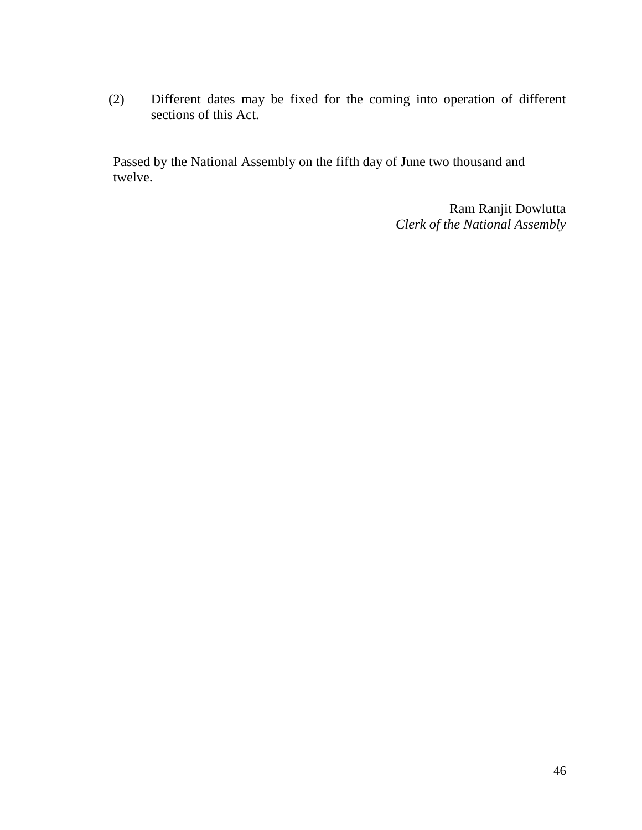(2) Different dates may be fixed for the coming into operation of different sections of this Act.

Passed by the National Assembly on the fifth day of June two thousand and twelve.

> Ram Ranjit Dowlutta *Clerk of the National Assembly*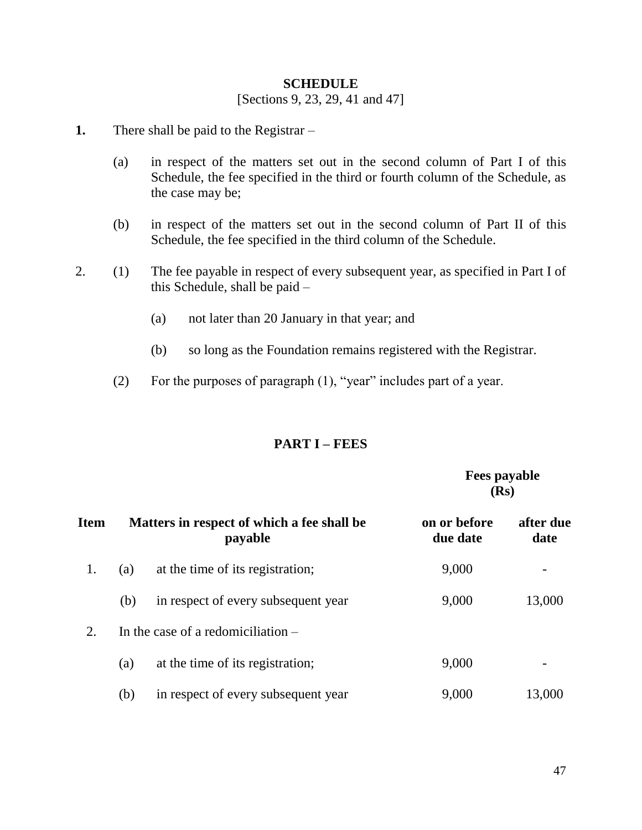#### **SCHEDULE**

[Sections 9, 23, 29, 41 and 47]

- **1.** There shall be paid to the Registrar
	- (a) in respect of the matters set out in the second column of Part I of this Schedule, the fee specified in the third or fourth column of the Schedule, as the case may be;
	- (b) in respect of the matters set out in the second column of Part II of this Schedule, the fee specified in the third column of the Schedule.
- 2. (1) The fee payable in respect of every subsequent year, as specified in Part I of this Schedule, shall be paid –
	- (a) not later than 20 January in that year; and
	- (b) so long as the Foundation remains registered with the Registrar.
	- (2) For the purposes of paragraph (1), "year" includes part of a year.

#### **PART I – FEES**

 **Fees payable (Rs)**

| Item |                                      | Matters in respect of which a fee shall be<br>payable | on or before<br>due date | after due<br>date        |
|------|--------------------------------------|-------------------------------------------------------|--------------------------|--------------------------|
| 1.   | (a)                                  | at the time of its registration;                      | 9,000                    | $\overline{\phantom{a}}$ |
|      | (b)                                  | in respect of every subsequent year                   | 9,000                    | 13,000                   |
| 2.   | In the case of a redomiciliation $-$ |                                                       |                          |                          |
|      | (a)                                  | at the time of its registration;                      | 9,000                    | $\overline{\phantom{a}}$ |
|      | (b)                                  | in respect of every subsequent year                   | 9,000                    | 13,000                   |